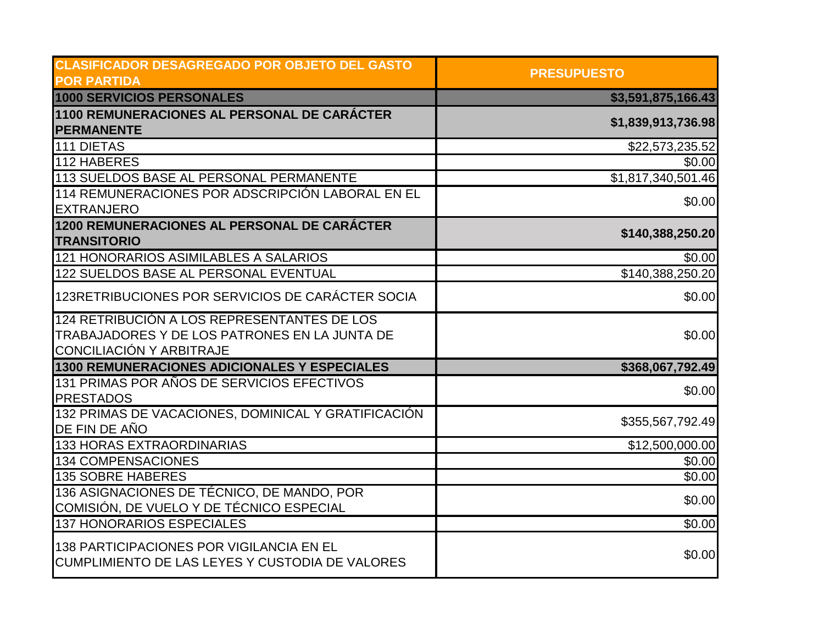| <b>CLASIFICADOR DESAGREGADO POR OBJETO DEL GASTO</b> | <b>PRESUPUESTO</b> |
|------------------------------------------------------|--------------------|
| <b>POR PARTIDA</b>                                   |                    |
| <b>1000 SERVICIOS PERSONALES</b>                     | \$3,591,875,166.43 |
| 1100 REMUNERACIONES AL PERSONAL DE CARÁCTER          | \$1,839,913,736.98 |
| <b>PERMANENTE</b>                                    |                    |
| 111 DIETAS                                           | \$22,573,235.52    |
| 112 HABERES                                          | \$0.00             |
| 113 SUELDOS BASE AL PERSONAL PERMANENTE              | \$1,817,340,501.46 |
| 114 REMUNERACIONES POR ADSCRIPCIÓN LABORAL EN EL     | \$0.00             |
| <b>EXTRANJERO</b>                                    |                    |
| 1200 REMUNERACIONES AL PERSONAL DE CARÁCTER          | \$140,388,250.20   |
| <b>TRANSITORIO</b>                                   |                    |
| 121 HONORARIOS ASIMILABLES A SALARIOS                | \$0.00             |
| 122 SUELDOS BASE AL PERSONAL EVENTUAL                | \$140,388,250.20   |
| 123RETRIBUCIONES POR SERVICIOS DE CARÁCTER SOCIA     | \$0.00             |
| 124 RETRIBUCIÓN A LOS REPRESENTANTES DE LOS          |                    |
| TRABAJADORES Y DE LOS PATRONES EN LA JUNTA DE        | \$0.00             |
| CONCILIACIÓN Y ARBITRAJE                             |                    |
| 1300 REMUNERACIONES ADICIONALES Y ESPECIALES         | \$368,067,792.49   |
| 131 PRIMAS POR AÑOS DE SERVICIOS EFECTIVOS           | \$0.00             |
| <b>PRESTADOS</b>                                     |                    |
| 132 PRIMAS DE VACACIONES, DOMINICAL Y GRATIFICACIÓN  | \$355,567,792.49   |
| DE FIN DE AÑO                                        |                    |
| <b>133 HORAS EXTRAORDINARIAS</b>                     | \$12,500,000.00    |
| 134 COMPENSACIONES                                   | \$0.00             |
| <b>135 SOBRE HABERES</b>                             | \$0.00             |
| 136 ASIGNACIONES DE TÉCNICO, DE MANDO, POR           | \$0.00             |
| COMISIÓN, DE VUELO Y DE TÉCNICO ESPECIAL             |                    |
| 137 HONORARIOS ESPECIALES                            | \$0.00             |
| 138 PARTICIPACIONES POR VIGILANCIA EN EL             |                    |
| CUMPLIMIENTO DE LAS LEYES Y CUSTODIA DE VALORES      | \$0.00             |
|                                                      |                    |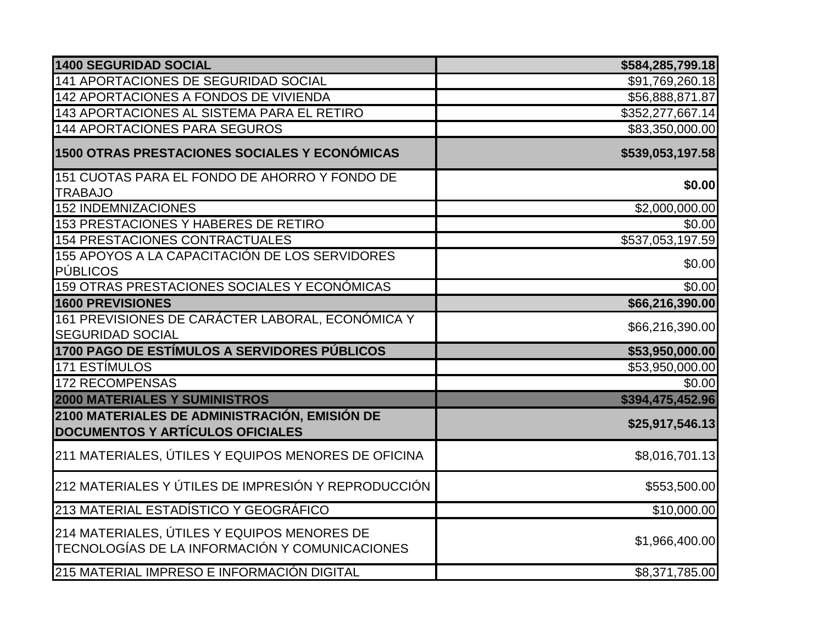| <b>1400 SEGURIDAD SOCIAL</b>                                                                  | \$584,285,799.18   |
|-----------------------------------------------------------------------------------------------|--------------------|
| 141 APORTACIONES DE SEGURIDAD SOCIAL                                                          | \$91,769,260.18    |
| 142 APORTACIONES A FONDOS DE VIVIENDA                                                         | \$56,888,871.87    |
| 143 APORTACIONES AL SISTEMA PARA EL RETIRO                                                    | \$352,277,667.14   |
| 144 APORTACIONES PARA SEGUROS                                                                 | \$83,350,000.00    |
| 1500 OTRAS PRESTACIONES SOCIALES Y ECONÓMICAS                                                 | \$539,053,197.58   |
| 151 CUOTAS PARA EL FONDO DE AHORRO Y FONDO DE<br><b>TRABAJO</b>                               | \$0.00             |
| <b>152 INDEMNIZACIONES</b>                                                                    | \$2,000,000.00     |
| 153 PRESTACIONES Y HABERES DE RETIRO                                                          | \$0.00             |
| 154 PRESTACIONES CONTRACTUALES                                                                | \$537,053,197.59   |
| 155 APOYOS A LA CAPACITACIÓN DE LOS SERVIDORES<br><b>PÚBLICOS</b>                             | \$0.00             |
| 159 OTRAS PRESTACIONES SOCIALES Y ECONÓMICAS                                                  | $\overline{$0.00}$ |
| 1600 PREVISIONES                                                                              | \$66,216,390.00    |
| 161 PREVISIONES DE CARÁCTER LABORAL, ECONÓMICA Y<br><b>SEGURIDAD SOCIAL</b>                   | \$66,216,390.00    |
| 1700 PAGO DE ESTÍMULOS A SERVIDORES PÚBLICOS                                                  | \$53,950,000.00    |
| <b>171 ESTÍMULOS</b>                                                                          | \$53,950,000.00    |
| <b>172 RECOMPENSAS</b>                                                                        | \$0.00             |
| <b>2000 MATERIALES Y SUMINISTROS</b>                                                          | \$394,475,452.96   |
| 2100 MATERIALES DE ADMINISTRACIÓN, EMISIÓN DE<br><b>DOCUMENTOS Y ARTÍCULOS OFICIALES</b>      | \$25,917,546.13    |
| 211 MATERIALES, ÚTILES Y EQUIPOS MENORES DE OFICINA                                           | \$8,016,701.13     |
| 212 MATERIALES Y ÚTILES DE IMPRESIÓN Y REPRODUCCIÓN                                           | \$553,500.00       |
| 213 MATERIAL ESTADÍSTICO Y GEOGRÁFICO                                                         | \$10,000.00        |
| 214 MATERIALES, ÚTILES Y EQUIPOS MENORES DE<br>TECNOLOGÍAS DE LA INFORMACIÓN Y COMUNICACIONES | \$1,966,400.00     |
| 215 MATERIAL IMPRESO E INFORMACIÓN DIGITAL                                                    | \$8,371,785.00     |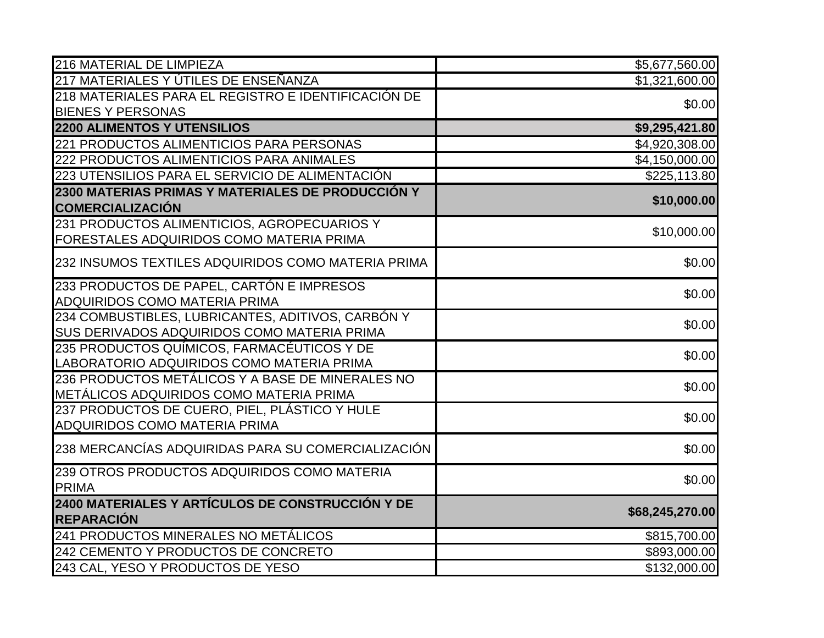| 216 MATERIAL DE LIMPIEZA                                                                                | \$5,677,560.00  |
|---------------------------------------------------------------------------------------------------------|-----------------|
| 217 MATERIALES Y ÚTILES DE ENSEÑANZA                                                                    | \$1,321,600.00  |
| 218 MATERIALES PARA EL REGISTRO E IDENTIFICACIÓN DE                                                     | \$0.00          |
| <b>BIENES Y PERSONAS</b>                                                                                |                 |
| <b>2200 ALIMENTOS Y UTENSILIOS</b>                                                                      | \$9,295,421.80  |
| 221 PRODUCTOS ALIMENTICIOS PARA PERSONAS                                                                | \$4,920,308.00  |
| 222 PRODUCTOS ALIMENTICIOS PARA ANIMALES                                                                | \$4,150,000.00  |
| 223 UTENSILIOS PARA EL SERVICIO DE ALIMENTACIÓN                                                         | \$225,113.80    |
| 2300 MATERIAS PRIMAS Y MATERIALES DE PRODUCCIÓN Y<br><b>COMERCIALIZACIÓN</b>                            | \$10,000.00     |
| 231 PRODUCTOS ALIMENTICIOS, AGROPECUARIOS Y<br>FORESTALES ADQUIRIDOS COMO MATERIA PRIMA                 | \$10,000.00     |
| 232 INSUMOS TEXTILES ADQUIRIDOS COMO MATERIA PRIMA                                                      | \$0.00          |
| 233 PRODUCTOS DE PAPEL, CARTÓN E IMPRESOS<br><b>ADQUIRIDOS COMO MATERIA PRIMA</b>                       | \$0.00          |
| 234 COMBUSTIBLES, LUBRICANTES, ADITIVOS, CARBÓN Y<br><b>SUS DERIVADOS ADQUIRIDOS COMO MATERIA PRIMA</b> | \$0.00          |
| 235 PRODUCTOS QUÍMICOS, FARMACÉUTICOS Y DE<br>LABORATORIO ADQUIRIDOS COMO MATERIA PRIMA                 | \$0.00          |
| 236 PRODUCTOS METÁLICOS Y A BASE DE MINERALES NO<br>METÁLICOS ADQUIRIDOS COMO MATERIA PRIMA             | \$0.00          |
| 237 PRODUCTOS DE CUERO, PIEL, PLÁSTICO Y HULE<br><b>ADQUIRIDOS COMO MATERIA PRIMA</b>                   | \$0.00          |
| 238 MERCANCÍAS ADQUIRIDAS PARA SU COMERCIALIZACIÓN                                                      | \$0.00          |
| 239 OTROS PRODUCTOS ADQUIRIDOS COMO MATERIA<br><b>PRIMA</b>                                             | \$0.00          |
| 2400 MATERIALES Y ARTÍCULOS DE CONSTRUCCIÓN Y DE<br><b>REPARACIÓN</b>                                   | \$68,245,270.00 |
| 241 PRODUCTOS MINERALES NO METÁLICOS                                                                    | \$815,700.00    |
| 242 CEMENTO Y PRODUCTOS DE CONCRETO                                                                     | \$893,000.00    |
| 243 CAL, YESO Y PRODUCTOS DE YESO                                                                       | \$132,000.00    |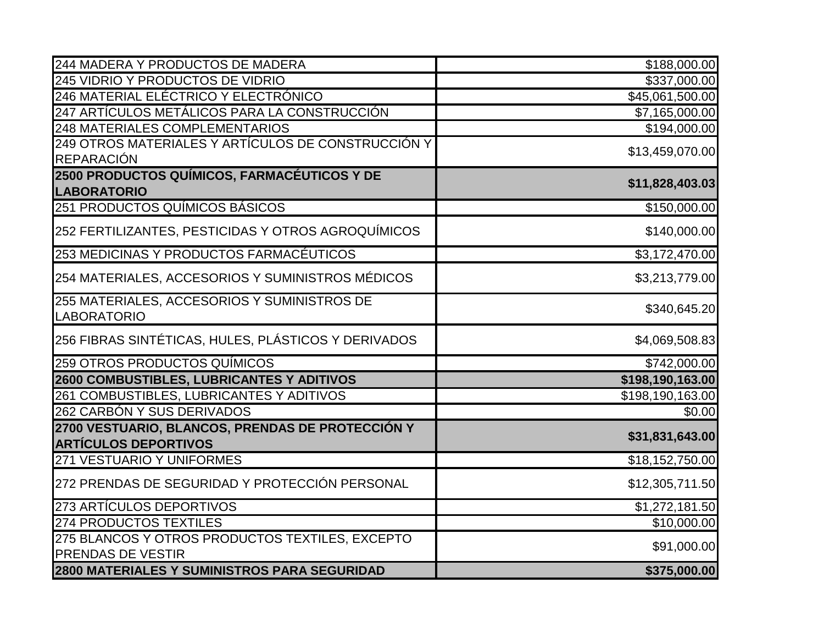| 244 MADERA Y PRODUCTOS DE MADERA                                                | \$188,000.00     |
|---------------------------------------------------------------------------------|------------------|
| 245 VIDRIO Y PRODUCTOS DE VIDRIO                                                | \$337,000.00     |
| 246 MATERIAL ELÉCTRICO Y ELECTRÓNICO                                            | \$45,061,500.00  |
| 247 ARTÍCULOS METÁLICOS PARA LA CONSTRUCCIÓN                                    | \$7,165,000.00   |
| <b>248 MATERIALES COMPLEMENTARIOS</b>                                           | \$194,000.00     |
| 249 OTROS MATERIALES Y ARTÍCULOS DE CONSTRUCCIÓN Y                              |                  |
| <b>REPARACIÓN</b>                                                               | \$13,459,070.00  |
| 2500 PRODUCTOS QUÍMICOS, FARMACÉUTICOS Y DE<br><b>LABORATORIO</b>               | \$11,828,403.03  |
| 251 PRODUCTOS QUÍMICOS BÁSICOS                                                  |                  |
|                                                                                 | \$150,000.00     |
| 252 FERTILIZANTES, PESTICIDAS Y OTROS AGROQUÍMICOS                              | \$140,000.00     |
| 253 MEDICINAS Y PRODUCTOS FARMACÉUTICOS                                         | \$3,172,470.00   |
| 254 MATERIALES, ACCESORIOS Y SUMINISTROS MÉDICOS                                | \$3,213,779.00   |
| 255 MATERIALES, ACCESORIOS Y SUMINISTROS DE                                     | \$340,645.20     |
| <b>LABORATORIO</b>                                                              |                  |
| 256 FIBRAS SINTÉTICAS, HULES, PLÁSTICOS Y DERIVADOS                             | \$4,069,508.83   |
| 259 OTROS PRODUCTOS QUÍMICOS                                                    | \$742,000.00     |
| 2600 COMBUSTIBLES, LUBRICANTES Y ADITIVOS                                       | \$198,190,163.00 |
| 261 COMBUSTIBLES, LUBRICANTES Y ADITIVOS                                        | \$198,190,163.00 |
| 262 CARBÓN Y SUS DERIVADOS                                                      | \$0.00           |
| 2700 VESTUARIO, BLANCOS, PRENDAS DE PROTECCIÓN Y<br><b>ARTÍCULOS DEPORTIVOS</b> | \$31,831,643.00  |
| 271 VESTUARIO Y UNIFORMES                                                       | \$18,152,750.00  |
|                                                                                 |                  |
| 272 PRENDAS DE SEGURIDAD Y PROTECCIÓN PERSONAL                                  | \$12,305,711.50  |
| 273 ARTÍCULOS DEPORTIVOS                                                        | \$1,272,181.50   |
| <b>274 PRODUCTOS TEXTILES</b>                                                   | \$10,000.00      |
| 275 BLANCOS Y OTROS PRODUCTOS TEXTILES, EXCEPTO                                 | \$91,000.00      |
| <b>PRENDAS DE VESTIR</b>                                                        |                  |
| 2800 MATERIALES Y SUMINISTROS PARA SEGURIDAD                                    | \$375,000.00     |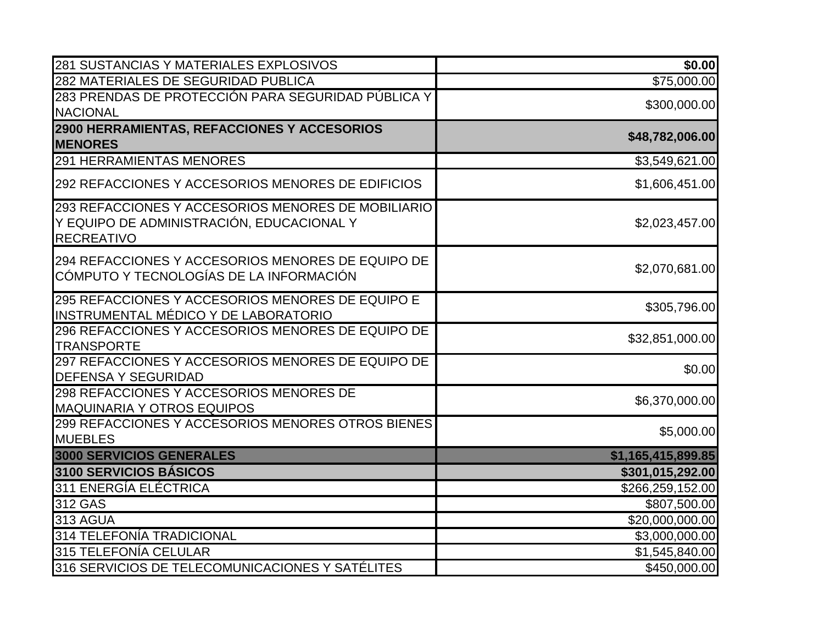| 281 SUSTANCIAS Y MATERIALES EXPLOSIVOS                                                                               | \$0.00             |
|----------------------------------------------------------------------------------------------------------------------|--------------------|
| 282 MATERIALES DE SEGURIDAD PUBLICA                                                                                  | \$75,000.00        |
| 283 PRENDAS DE PROTECCIÓN PARA SEGURIDAD PÚBLICA Y                                                                   | \$300,000.00       |
| <b>NACIONAL</b>                                                                                                      |                    |
| 2900 HERRAMIENTAS, REFACCIONES Y ACCESORIOS<br><b>MENORES</b>                                                        | \$48,782,006.00    |
| <b>291 HERRAMIENTAS MENORES</b>                                                                                      | \$3,549,621.00     |
| 292 REFACCIONES Y ACCESORIOS MENORES DE EDIFICIOS                                                                    | \$1,606,451.00     |
| 293 REFACCIONES Y ACCESORIOS MENORES DE MOBILIARIO<br>Y EQUIPO DE ADMINISTRACIÓN, EDUCACIONAL Y<br><b>RECREATIVO</b> | \$2,023,457.00     |
| 294 REFACCIONES Y ACCESORIOS MENORES DE EQUIPO DE<br>CÓMPUTO Y TECNOLOGÍAS DE LA INFORMACIÓN                         | \$2,070,681.00     |
| 295 REFACCIONES Y ACCESORIOS MENORES DE EQUIPO E<br>INSTRUMENTAL MÉDICO Y DE LABORATORIO                             | \$305,796.00       |
| 296 REFACCIONES Y ACCESORIOS MENORES DE EQUIPO DE<br><b>TRANSPORTE</b>                                               | \$32,851,000.00    |
| 297 REFACCIONES Y ACCESORIOS MENORES DE EQUIPO DE<br><b>DEFENSA Y SEGURIDAD</b>                                      | \$0.00             |
| 298 REFACCIONES Y ACCESORIOS MENORES DE<br><b>MAQUINARIA Y OTROS EQUIPOS</b>                                         | \$6,370,000.00     |
| 299 REFACCIONES Y ACCESORIOS MENORES OTROS BIENES<br><b>MUEBLES</b>                                                  | \$5,000.00         |
| 3000 SERVICIOS GENERALES                                                                                             | \$1,165,415,899.85 |
| 3100 SERVICIOS BÁSICOS                                                                                               | \$301,015,292.00   |
| 311 ENERGÍA ELÉCTRICA                                                                                                | \$266,259,152.00   |
| 312 GAS                                                                                                              | \$807,500.00       |
| 313 AGUA                                                                                                             | \$20,000,000.00    |
| 314 TELEFONÍA TRADICIONAL                                                                                            | \$3,000,000.00     |
| 315 TELEFONÍA CELULAR                                                                                                | \$1,545,840.00     |
| 316 SERVICIOS DE TELECOMUNICACIONES Y SATÉLITES                                                                      | \$450,000.00       |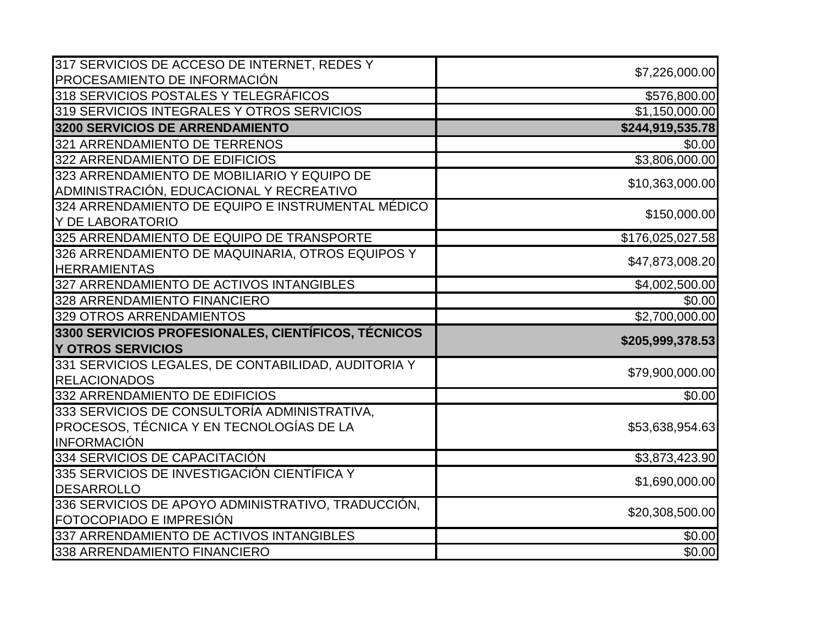| 317 SERVICIOS DE ACCESO DE INTERNET, REDES Y                             | \$7,226,000.00   |
|--------------------------------------------------------------------------|------------------|
| PROCESAMIENTO DE INFORMACIÓN                                             |                  |
| 318 SERVICIOS POSTALES Y TELEGRÁFICOS                                    | \$576,800.00     |
| 319 SERVICIOS INTEGRALES Y OTROS SERVICIOS                               | \$1,150,000.00   |
| 3200 SERVICIOS DE ARRENDAMIENTO                                          | \$244,919,535.78 |
| 321 ARRENDAMIENTO DE TERRENOS                                            | \$0.00           |
| 322 ARRENDAMIENTO DE EDIFICIOS                                           | \$3,806,000.00   |
| 323 ARRENDAMIENTO DE MOBILIARIO Y EQUIPO DE                              |                  |
| ADMINISTRACIÓN, EDUCACIONAL Y RECREATIVO                                 | \$10,363,000.00  |
| 324 ARRENDAMIENTO DE EQUIPO E INSTRUMENTAL MÉDICO                        | \$150,000.00     |
| Y DE LABORATORIO                                                         |                  |
| 325 ARRENDAMIENTO DE EQUIPO DE TRANSPORTE                                | \$176,025,027.58 |
| 326 ARRENDAMIENTO DE MAQUINARIA, OTROS EQUIPOS Y                         | \$47,873,008.20  |
| <b>HERRAMIENTAS</b>                                                      |                  |
| 327 ARRENDAMIENTO DE ACTIVOS INTANGIBLES                                 | \$4,002,500.00   |
| 328 ARRENDAMIENTO FINANCIERO                                             | \$0.00           |
| 329 OTROS ARRENDAMIENTOS                                                 | \$2,700,000.00   |
| 3300 SERVICIOS PROFESIONALES, CIENTÍFICOS, TÉCNICOS                      | \$205,999,378.53 |
| <b>Y OTROS SERVICIOS</b>                                                 |                  |
| 331 SERVICIOS LEGALES, DE CONTABILIDAD, AUDITORIA Y                      | \$79,900,000.00  |
| <b>RELACIONADOS</b>                                                      |                  |
| 332 ARRENDAMIENTO DE EDIFICIOS                                           | \$0.00           |
| 333 SERVICIOS DE CONSULTORÍA ADMINISTRATIVA.                             |                  |
| PROCESOS, TÉCNICA Y EN TECNOLOGÍAS DE LA                                 | \$53,638,954.63  |
| INFORMACIÓN                                                              |                  |
| 334 SERVICIOS DE CAPACITACIÓN                                            | \$3,873,423.90   |
| 335 SERVICIOS DE INVESTIGACIÓN CIENTÍFICA Y                              | \$1,690,000.00   |
| <b>DESARROLLO</b>                                                        |                  |
|                                                                          |                  |
| 336 SERVICIOS DE APOYO ADMINISTRATIVO, TRADUCCIÓN,                       |                  |
| FOTOCOPIADO E IMPRESIÓN                                                  | \$20,308,500.00  |
| 337 ARRENDAMIENTO DE ACTIVOS INTANGIBLES<br>338 ARRENDAMIENTO FINANCIERO | \$0.00           |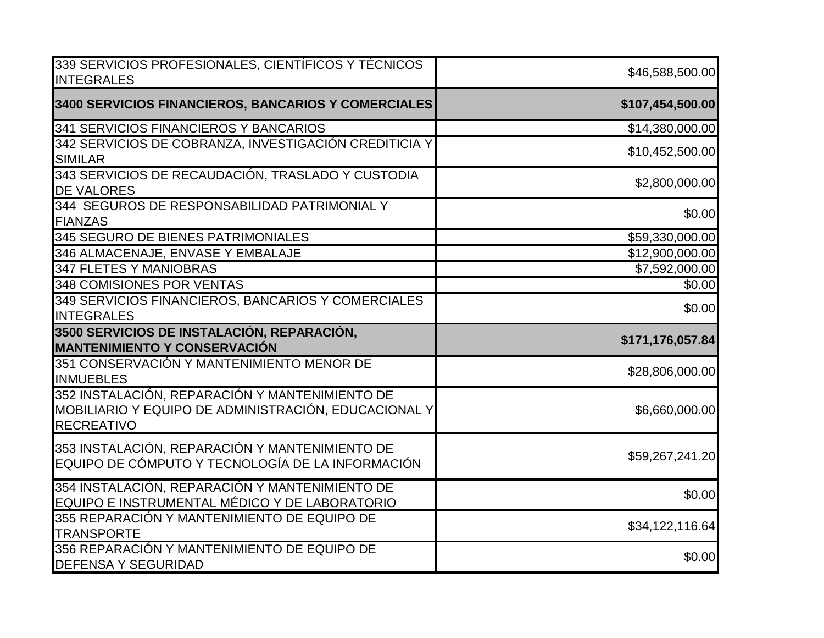| 339 SERVICIOS PROFESIONALES, CIENTÍFICOS Y TÉCNICOS<br><b>INTEGRALES</b>                                                    | \$46,588,500.00            |
|-----------------------------------------------------------------------------------------------------------------------------|----------------------------|
| 3400 SERVICIOS FINANCIEROS, BANCARIOS Y COMERCIALES                                                                         | \$107,454,500.00           |
| 341 SERVICIOS FINANCIEROS Y BANCARIOS                                                                                       | \$14,380,000.00            |
| 342 SERVICIOS DE COBRANZA, INVESTIGACIÓN CREDITICIA Y<br><b>SIMILAR</b>                                                     | \$10,452,500.00            |
| 343 SERVICIOS DE RECAUDACIÓN, TRASLADO Y CUSTODIA<br><b>DE VALORES</b>                                                      | \$2,800,000.00             |
| 344 SEGUROS DE RESPONSABILIDAD PATRIMONIAL Y<br><b>FIANZAS</b>                                                              | \$0.00                     |
| 345 SEGURO DE BIENES PATRIMONIALES                                                                                          | \$59,330,000.00            |
| 346 ALMACENAJE, ENVASE Y EMBALAJE                                                                                           | \$12,900,000.00            |
| 347 FLETES Y MANIOBRAS                                                                                                      | $\overline{$7,592,000.00}$ |
| <b>348 COMISIONES POR VENTAS</b>                                                                                            | \$0.00                     |
| 349 SERVICIOS FINANCIEROS, BANCARIOS Y COMERCIALES<br><b>INTEGRALES</b>                                                     | \$0.00                     |
| 3500 SERVICIOS DE INSTALACIÓN, REPARACIÓN,<br><b>MANTENIMIENTO Y CONSERVACIÓN</b>                                           | \$171,176,057.84           |
| 351 CONSERVACIÓN Y MANTENIMIENTO MENOR DE<br><b>INMUEBLES</b>                                                               | \$28,806,000.00            |
| 352 INSTALACIÓN, REPARACIÓN Y MANTENIMIENTO DE<br>MOBILIARIO Y EQUIPO DE ADMINISTRACIÓN, EDUCACIONAL Y<br><b>RECREATIVO</b> | \$6,660,000.00             |
| 353 INSTALACIÓN, REPARACIÓN Y MANTENIMIENTO DE<br>EQUIPO DE CÓMPUTO Y TECNOLOGÍA DE LA INFORMACIÓN                          | \$59,267,241.20            |
| 354 INSTALACIÓN, REPARACIÓN Y MANTENIMIENTO DE<br>EQUIPO E INSTRUMENTAL MÉDICO Y DE LABORATORIO                             | \$0.00                     |
| 355 REPARACIÓN Y MANTENIMIENTO DE EQUIPO DE<br><b>TRANSPORTE</b>                                                            | \$34,122,116.64            |
| 356 REPARACIÓN Y MANTENIMIENTO DE EQUIPO DE<br><b>DEFENSA Y SEGURIDAD</b>                                                   | \$0.00                     |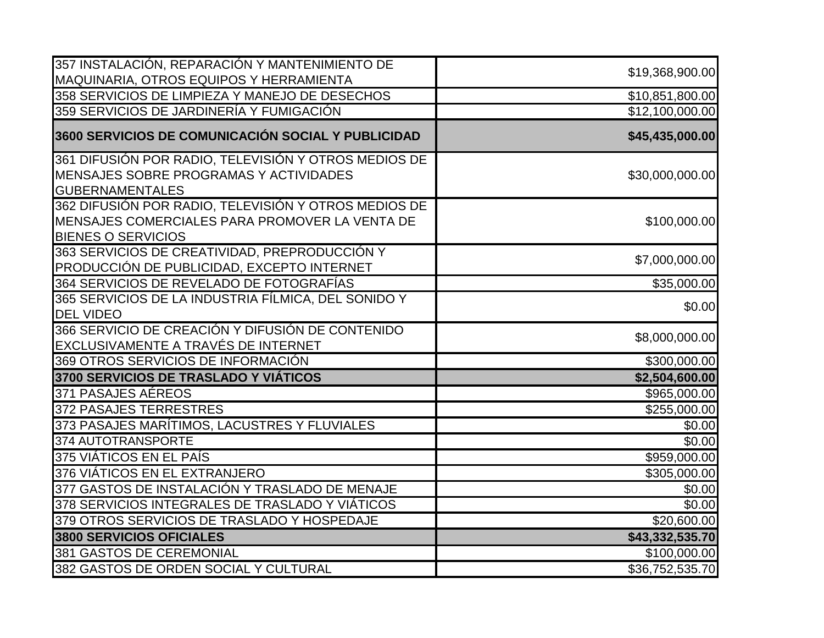| 357 INSTALACIÓN, REPARACIÓN Y MANTENIMIENTO DE       | \$19,368,900.00             |
|------------------------------------------------------|-----------------------------|
| MAQUINARIA, OTROS EQUIPOS Y HERRAMIENTA              |                             |
| 358 SERVICIOS DE LIMPIEZA Y MANEJO DE DESECHOS       | \$10,851,800.00             |
| 359 SERVICIOS DE JARDINERÍA Y FUMIGACIÓN             | $\overline{$}12,100,000.00$ |
| 3600 SERVICIOS DE COMUNICACIÓN SOCIAL Y PUBLICIDAD   | \$45,435,000.00             |
| 361 DIFUSIÓN POR RADIO, TELEVISIÓN Y OTROS MEDIOS DE |                             |
| MENSAJES SOBRE PROGRAMAS Y ACTIVIDADES               | \$30,000,000.00             |
| <b>GUBERNAMENTALES</b>                               |                             |
| 362 DIFUSIÓN POR RADIO, TELEVISIÓN Y OTROS MEDIOS DE |                             |
| MENSAJES COMERCIALES PARA PROMOVER LA VENTA DE       | \$100,000.00                |
| <b>BIENES O SERVICIOS</b>                            |                             |
| 363 SERVICIOS DE CREATIVIDAD, PREPRODUCCIÓN Y        | \$7,000,000.00              |
| PRODUCCIÓN DE PUBLICIDAD, EXCEPTO INTERNET           |                             |
| 364 SERVICIOS DE REVELADO DE FOTOGRAFÍAS             | \$35,000.00                 |
| 365 SERVICIOS DE LA INDUSTRIA FÍLMICA, DEL SONIDO Y  | \$0.00                      |
| <b>DEL VIDEO</b>                                     |                             |
| 366 SERVICIO DE CREACIÓN Y DIFUSIÓN DE CONTENIDO     | \$8,000,000.00              |
| EXCLUSIVAMENTE A TRAVÉS DE INTERNET                  |                             |
| 369 OTROS SERVICIOS DE INFORMACIÓN                   | \$300,000.00                |
| 3700 SERVICIOS DE TRASLADO Y VIÁTICOS                | \$2,504,600.00              |
| 371 PASAJES AÉREOS                                   | \$965,000.00                |
| 372 PASAJES TERRESTRES                               | \$255,000.00                |
| 373 PASAJES MARÍTIMOS, LACUSTRES Y FLUVIALES         | \$0.00                      |
| 374 AUTOTRANSPORTE                                   | \$0.00                      |
| 375 VIÁTICOS EN EL PAÍS                              | \$959,000.00                |
| 376 VIÁTICOS EN EL EXTRANJERO                        | \$305,000.00                |
| 377 GASTOS DE INSTALACIÓN Y TRASLADO DE MENAJE       | \$0.00                      |
| 378 SERVICIOS INTEGRALES DE TRASLADO Y VIÁTICOS      | \$0.00                      |
| 379 OTROS SERVICIOS DE TRASLADO Y HOSPEDAJE          | \$20,600.00                 |
| 3800 SERVICIOS OFICIALES                             | \$43,332,535.70             |
| 381 GASTOS DE CEREMONIAL                             | \$100,000.00                |
| 382 GASTOS DE ORDEN SOCIAL Y CULTURAL                | \$36,752,535.70             |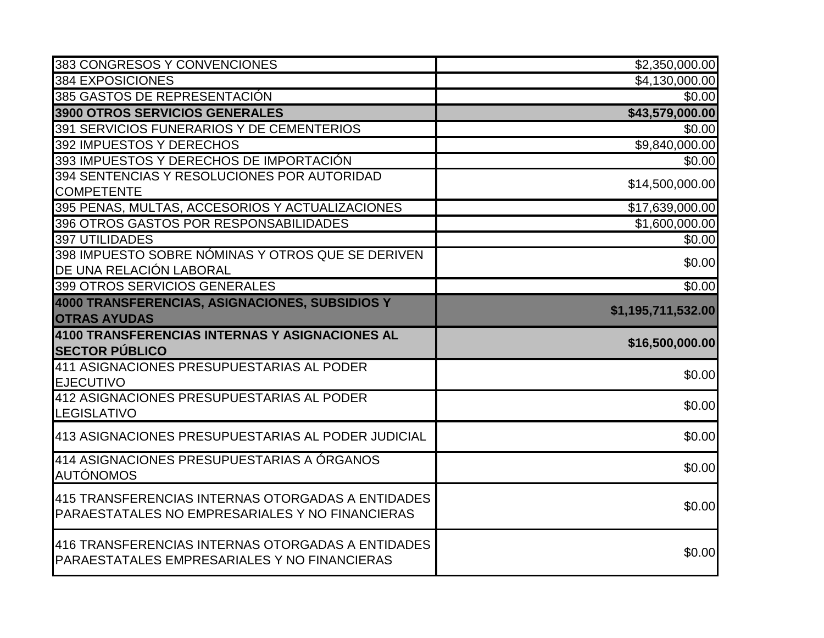| 383 CONGRESOS Y CONVENCIONES                                                                      | \$2,350,000.00             |
|---------------------------------------------------------------------------------------------------|----------------------------|
| 384 EXPOSICIONES                                                                                  | \$4,130,000.00             |
| 385 GASTOS DE REPRESENTACIÓN                                                                      | \$0.00                     |
| 3900 OTROS SERVICIOS GENERALES                                                                    | \$43,579,000.00            |
| 391 SERVICIOS FUNERARIOS Y DE CEMENTERIOS                                                         | \$0.00                     |
| 392 IMPUESTOS Y DERECHOS                                                                          | \$9,840,000.00             |
| 393 IMPUESTOS Y DERECHOS DE IMPORTACIÓN                                                           | \$0.00                     |
| 394 SENTENCIAS Y RESOLUCIONES POR AUTORIDAD                                                       | \$14,500,000.00            |
| <b>COMPETENTE</b>                                                                                 |                            |
| 395 PENAS, MULTAS, ACCESORIOS Y ACTUALIZACIONES                                                   | \$17,639,000.00            |
| 396 OTROS GASTOS POR RESPONSABILIDADES                                                            | \$1,600,000.00             |
| 397 UTILIDADES                                                                                    | \$0.00                     |
| 398 IMPUESTO SOBRE NÓMINAS Y OTROS QUE SE DERIVEN                                                 | \$0.00                     |
| DE UNA RELACIÓN LABORAL                                                                           |                            |
| 399 OTROS SERVICIOS GENERALES                                                                     | \$0.00                     |
| 4000 TRANSFERENCIAS, ASIGNACIONES, SUBSIDIOS Y                                                    | \$1,195,711,532.00         |
|                                                                                                   |                            |
| <b>OTRAS AYUDAS</b>                                                                               |                            |
| 4100 TRANSFERENCIAS INTERNAS Y ASIGNACIONES AL                                                    |                            |
| <b>SECTOR PÚBLICO</b>                                                                             |                            |
| 411 ASIGNACIONES PRESUPUESTARIAS AL PODER                                                         |                            |
| <b>EJECUTIVO</b>                                                                                  | \$16,500,000.00<br>\$0.00  |
| 412 ASIGNACIONES PRESUPUESTARIAS AL PODER                                                         |                            |
| <b>LEGISLATIVO</b>                                                                                |                            |
| 413 ASIGNACIONES PRESUPUESTARIAS AL PODER JUDICIAL                                                | \$0.00<br>\$0.00           |
| 414 ASIGNACIONES PRESUPUESTARIAS A ÓRGANOS                                                        |                            |
| <b>AUTÓNOMOS</b>                                                                                  |                            |
| 415 TRANSFERENCIAS INTERNAS OTORGADAS A ENTIDADES                                                 |                            |
| PARAESTATALES NO EMPRESARIALES Y NO FINANCIERAS                                                   |                            |
|                                                                                                   |                            |
| 416 TRANSFERENCIAS INTERNAS OTORGADAS A ENTIDADES<br>PARAESTATALES EMPRESARIALES Y NO FINANCIERAS | \$0.00<br>\$0.00<br>\$0.00 |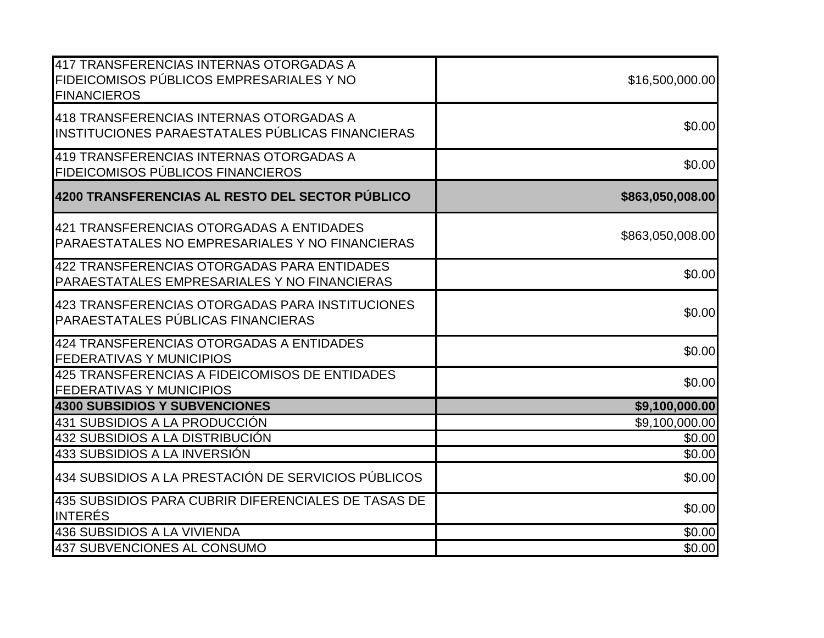| 417 TRANSFERENCIAS INTERNAS OTORGADAS A<br>FIDEICOMISOS PÚBLICOS EMPRESARIALES Y NO<br><b>FINANCIEROS</b> | \$16,500,000.00  |
|-----------------------------------------------------------------------------------------------------------|------------------|
| 418 TRANSFERENCIAS INTERNAS OTORGADAS A<br>INSTITUCIONES PARAESTATALES PÚBLICAS FINANCIERAS               | \$0.00           |
| 419 TRANSFERENCIAS INTERNAS OTORGADAS A<br>FIDEICOMISOS PÚBLICOS FINANCIEROS                              | \$0.00           |
| 4200 TRANSFERENCIAS AL RESTO DEL SECTOR PÚBLICO                                                           | \$863,050,008.00 |
| 421 TRANSFERENCIAS OTORGADAS A ENTIDADES<br>PARAESTATALES NO EMPRESARIALES Y NO FINANCIERAS               | \$863,050,008.00 |
| 422 TRANSFERENCIAS OTORGADAS PARA ENTIDADES<br>PARAESTATALES EMPRESARIALES Y NO FINANCIERAS               | \$0.00           |
| 423 TRANSFERENCIAS OTORGADAS PARA INSTITUCIONES<br>PARAESTATALES PÚBLICAS FINANCIERAS                     | \$0.00           |
| 424 TRANSFERENCIAS OTORGADAS A ENTIDADES<br><b>FEDERATIVAS Y MUNICIPIOS</b>                               | \$0.00           |
| 425 TRANSFERENCIAS A FIDEICOMISOS DE ENTIDADES<br><b>FEDERATIVAS Y MUNICIPIOS</b>                         | \$0.00           |
| <b>4300 SUBSIDIOS Y SUBVENCIONES</b>                                                                      | \$9,100,000.00   |
| 431 SUBSIDIOS A LA PRODUCCIÓN                                                                             | \$9,100,000.00   |
| 432 SUBSIDIOS A LA DISTRIBUCIÓN                                                                           | \$0.00           |
| 433 SUBSIDIOS A LA INVERSIÓN                                                                              | \$0.00           |
| 434 SUBSIDIOS A LA PRESTACIÓN DE SERVICIOS PÚBLICOS                                                       | \$0.00           |
| 435 SUBSIDIOS PARA CUBRIR DIFERENCIALES DE TASAS DE<br><b>INTERÉS</b>                                     | \$0.00           |
| 436 SUBSIDIOS A LA VIVIENDA                                                                               | \$0.00           |
| 437 SUBVENCIONES AL CONSUMO                                                                               | \$0.00           |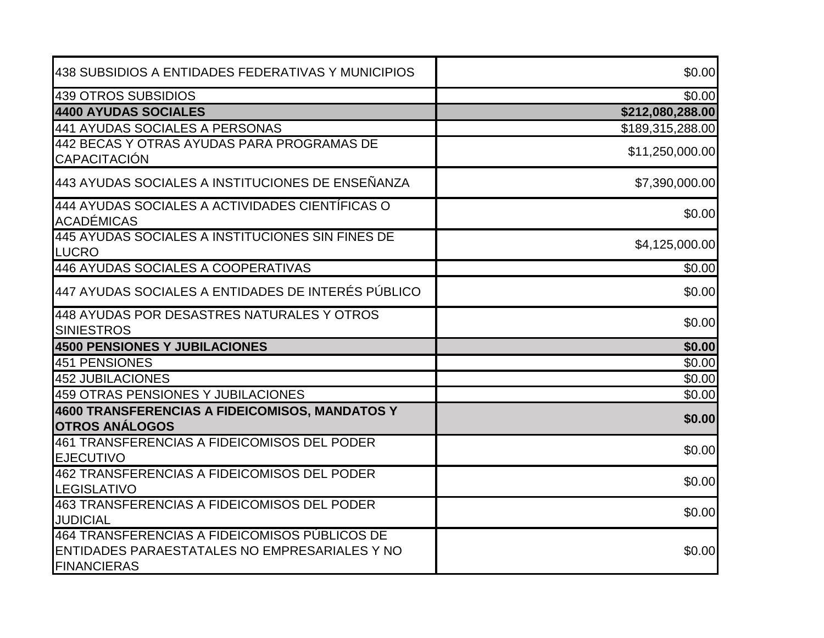| 438 SUBSIDIOS A ENTIDADES FEDERATIVAS Y MUNICIPIOS                                                                   | \$0.00           |
|----------------------------------------------------------------------------------------------------------------------|------------------|
| 439 OTROS SUBSIDIOS                                                                                                  | \$0.00           |
| <b>4400 AYUDAS SOCIALES</b>                                                                                          | \$212,080,288.00 |
| 441 AYUDAS SOCIALES A PERSONAS                                                                                       | \$189,315,288.00 |
| 442 BECAS Y OTRAS AYUDAS PARA PROGRAMAS DE<br>CAPACITACIÓN                                                           | \$11,250,000.00  |
| 443 AYUDAS SOCIALES A INSTITUCIONES DE ENSEÑANZA                                                                     | \$7,390,000.00   |
| 444 AYUDAS SOCIALES A ACTIVIDADES CIENTÍFICAS O<br><b>ACADÉMICAS</b>                                                 | \$0.00           |
| 445 AYUDAS SOCIALES A INSTITUCIONES SIN FINES DE<br>LUCRO                                                            | \$4,125,000.00   |
| 446 AYUDAS SOCIALES A COOPERATIVAS                                                                                   | \$0.00           |
| 447 AYUDAS SOCIALES A ENTIDADES DE INTERÉS PÚBLICO                                                                   | \$0.00           |
| 448 AYUDAS POR DESASTRES NATURALES Y OTROS<br><b>SINIESTROS</b>                                                      | \$0.00           |
| <b>4500 PENSIONES Y JUBILACIONES</b>                                                                                 | \$0.00           |
| <b>451 PENSIONES</b>                                                                                                 | \$0.00           |
| 452 JUBILACIONES                                                                                                     | \$0.00           |
| <b>459 OTRAS PENSIONES Y JUBILACIONES</b>                                                                            | \$0.00           |
| 4600 TRANSFERENCIAS A FIDEICOMISOS, MANDATOS Y<br><b>OTROS ANÁLOGOS</b>                                              | \$0.00           |
| 461 TRANSFERENCIAS A FIDEICOMISOS DEL PODER<br><b>EJECUTIVO</b>                                                      | \$0.00           |
| 462 TRANSFERENCIAS A FIDEICOMISOS DEL PODER<br><b>LEGISLATIVO</b>                                                    | \$0.00           |
| 463 TRANSFERENCIAS A FIDEICOMISOS DEL PODER<br><b>JUDICIAL</b>                                                       | \$0.00           |
| 464 TRANSFERENCIAS A FIDEICOMISOS PÚBLICOS DE<br>ENTIDADES PARAESTATALES NO EMPRESARIALES Y NO<br><b>FINANCIERAS</b> | \$0.00           |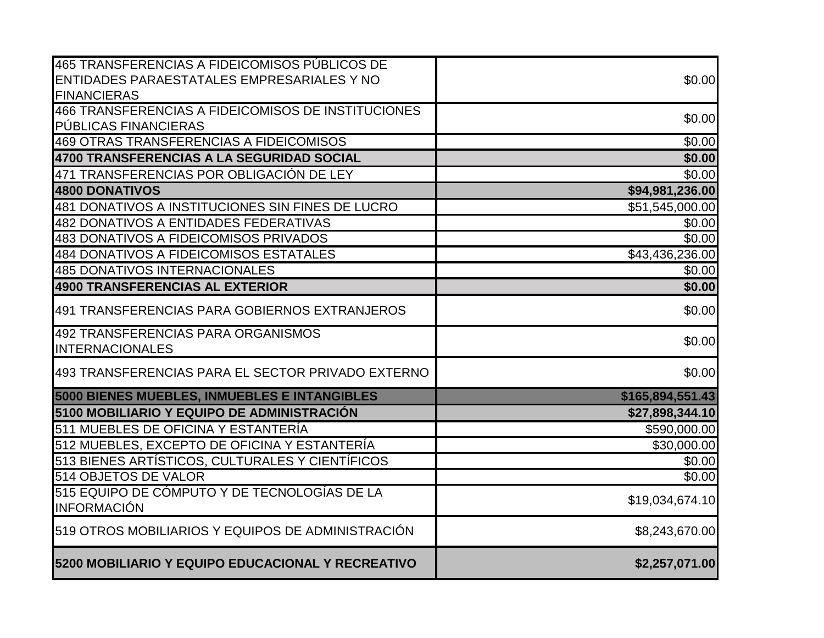| 465 TRANSFERENCIAS A FIDEICOMISOS PÚBLICOS DE                      |                  |
|--------------------------------------------------------------------|------------------|
| ENTIDADES PARAESTATALES EMPRESARIALES Y NO<br><b>FINANCIERAS</b>   | \$0.00           |
| 466 TRANSFERENCIAS A FIDEICOMISOS DE INSTITUCIONES                 |                  |
| PÚBLICAS FINANCIERAS                                               | \$0.00           |
| 469 OTRAS TRANSFERENCIAS A FIDEICOMISOS                            | \$0.00           |
| 4700 TRANSFERENCIAS A LA SEGURIDAD SOCIAL                          | \$0.00           |
| 471 TRANSFERENCIAS POR OBLIGACIÓN DE LEY                           | \$0.00           |
| <b>4800 DONATIVOS</b>                                              | \$94,981,236.00  |
| 481 DONATIVOS A INSTITUCIONES SIN FINES DE LUCRO                   | \$51,545,000.00  |
| <b>482 DONATIVOS A ENTIDADES FEDERATIVAS</b>                       | \$0.00           |
| 483 DONATIVOS A FIDEICOMISOS PRIVADOS                              | \$0.00           |
| 484 DONATIVOS A FIDEICOMISOS ESTATALES                             | \$43,436,236.00  |
| <b>485 DONATIVOS INTERNACIONALES</b>                               | \$0.00           |
| 4900 TRANSFERENCIAS AL EXTERIOR                                    | \$0.00           |
| 491 TRANSFERENCIAS PARA GOBIERNOS EXTRANJEROS                      | \$0.00           |
| 492 TRANSFERENCIAS PARA ORGANISMOS                                 |                  |
| <b>INTERNACIONALES</b>                                             | \$0.00           |
| 493 TRANSFERENCIAS PARA EL SECTOR PRIVADO EXTERNO                  | \$0.00           |
| 5000 BIENES MUEBLES, INMUEBLES E INTANGIBLES                       | \$165,894,551.43 |
| 5100 MOBILIARIO Y EQUIPO DE ADMINISTRACIÓN                         | \$27,898,344.10  |
| 511 MUEBLES DE OFICINA Y ESTANTERÍA                                | \$590,000.00     |
| 512 MUEBLES, EXCEPTO DE OFICINA Y ESTANTERÍA                       | \$30,000.00      |
| 513 BIENES ARTÍSTICOS, CULTURALES Y CIENTÍFICOS                    | \$0.00           |
| 514 OBJETOS DE VALOR                                               | \$0.00           |
| 515 EQUIPO DE CÓMPUTO Y DE TECNOLOGÍAS DE LA<br><b>INFORMACIÓN</b> | \$19,034,674.10  |
| 519 OTROS MOBILIARIOS Y EQUIPOS DE ADMINISTRACIÓN                  | \$8,243,670.00   |
| 5200 MOBILIARIO Y EQUIPO EDUCACIONAL Y RECREATIVO                  | \$2,257,071.00   |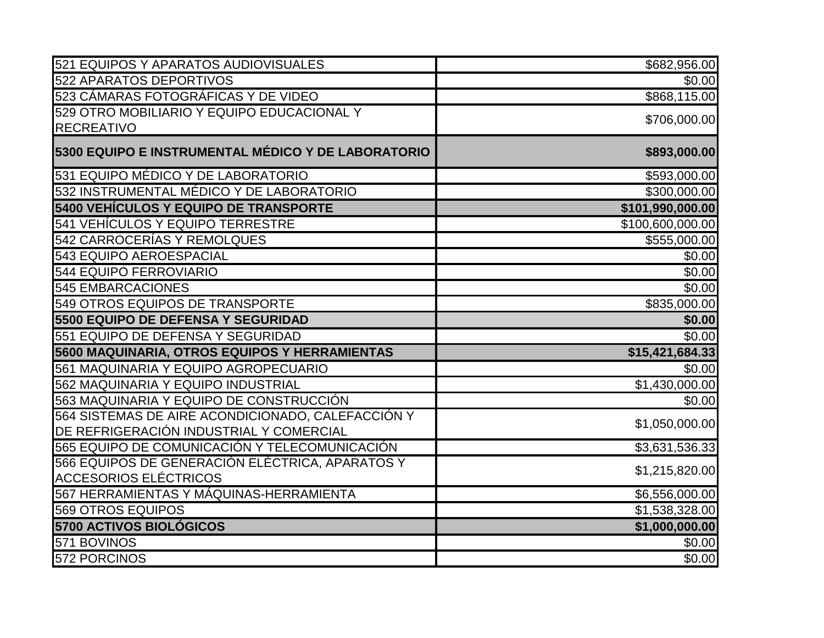| 521 EQUIPOS Y APARATOS AUDIOVISUALES               | \$682,956.00     |
|----------------------------------------------------|------------------|
| 522 APARATOS DEPORTIVOS                            | \$0.00           |
| 523 CÁMARAS FOTOGRÁFICAS Y DE VIDEO                | \$868,115.00     |
| 529 OTRO MOBILIARIO Y EQUIPO EDUCACIONAL Y         | \$706,000.00     |
| <b>RECREATIVO</b>                                  |                  |
| 5300 EQUIPO E INSTRUMENTAL MÉDICO Y DE LABORATORIO | \$893,000.00     |
| 531 EQUIPO MÉDICO Y DE LABORATORIO                 | \$593,000.00     |
| 532 INSTRUMENTAL MÉDICO Y DE LABORATORIO           | \$300,000.00     |
| 5400 VEHÍCULOS Y EQUIPO DE TRANSPORTE              | \$101,990,000.00 |
| 541 VEHÍCULOS Y EQUIPO TERRESTRE                   | \$100,600,000.00 |
| 542 CARROCERÍAS Y REMOLQUES                        | \$555,000.00     |
| 543 EQUIPO AEROESPACIAL                            | \$0.00           |
| <b>544 EQUIPO FERROVIARIO</b>                      | \$0.00           |
| <b>545 EMBARCACIONES</b>                           | \$0.00           |
| 549 OTROS EQUIPOS DE TRANSPORTE                    | \$835,000.00     |
| 5500 EQUIPO DE DEFENSA Y SEGURIDAD                 | \$0.00           |
| 551 EQUIPO DE DEFENSA Y SEGURIDAD                  | \$0.00           |
| 5600 MAQUINARIA, OTROS EQUIPOS Y HERRAMIENTAS      | \$15,421,684.33  |
| 561 MAQUINARIA Y EQUIPO AGROPECUARIO               | \$0.00           |
| 562 MAQUINARIA Y EQUIPO INDUSTRIAL                 | \$1,430,000.00   |
| 563 MAQUINARIA Y EQUIPO DE CONSTRUCCIÓN            | \$0.00           |
| 564 SISTEMAS DE AIRE ACONDICIONADO, CALEFACCIÓN Y  | \$1,050,000.00   |
| DE REFRIGERACIÓN INDUSTRIAL Y COMERCIAL            |                  |
| 565 EQUIPO DE COMUNICACIÓN Y TELECOMUNICACIÓN      | \$3,631,536.33   |
| 566 EQUIPOS DE GENERACIÓN ELÉCTRICA, APARATOS Y    | \$1,215,820.00   |
| <b>ACCESORIOS ELÉCTRICOS</b>                       |                  |
| 567 HERRAMIENTAS Y MÁQUINAS-HERRAMIENTA            | \$6,556,000.00   |
| 569 OTROS EQUIPOS                                  | \$1,538,328.00   |
| 5700 ACTIVOS BIOLÓGICOS                            | \$1,000,000.00   |
| 571 BOVINOS                                        | \$0.00           |
| 572 PORCINOS                                       | \$0.00           |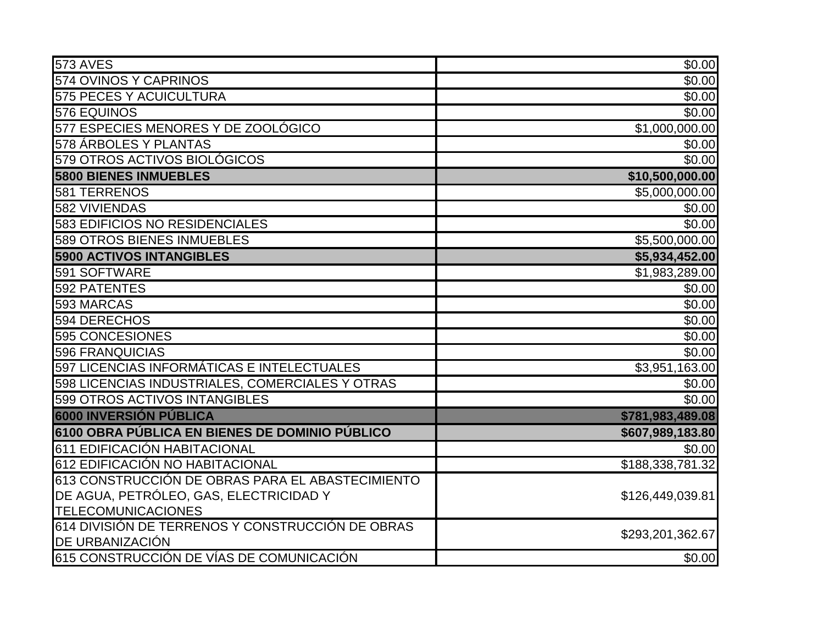| <b>573 AVES</b>                                  | \$0.00           |
|--------------------------------------------------|------------------|
| 574 OVINOS Y CAPRINOS                            | \$0.00           |
| <b>575 PECES Y ACUICULTURA</b>                   | \$0.00           |
| 576 EQUINOS                                      | \$0.00           |
| 577 ESPECIES MENORES Y DE ZOOLÓGICO              | \$1,000,000.00   |
| 578 ÁRBOLES Y PLANTAS                            | \$0.00           |
| 579 OTROS ACTIVOS BIOLÓGICOS                     | \$0.00           |
| <b>5800 BIENES INMUEBLES</b>                     | \$10,500,000.00  |
| 581 TERRENOS                                     | \$5,000,000.00   |
| 582 VIVIENDAS                                    | \$0.00           |
| <b>583 EDIFICIOS NO RESIDENCIALES</b>            | \$0.00           |
| <b>589 OTROS BIENES INMUEBLES</b>                | \$5,500,000.00   |
| <b>5900 ACTIVOS INTANGIBLES</b>                  | \$5,934,452.00   |
| 591 SOFTWARE                                     | \$1,983,289.00   |
| 592 PATENTES                                     | \$0.00           |
| 593 MARCAS                                       | \$0.00           |
| 594 DERECHOS                                     | \$0.00           |
| 595 CONCESIONES                                  | \$0.00           |
| 596 FRANQUICIAS                                  | \$0.00           |
| 597 LICENCIAS INFORMÁTICAS E INTELECTUALES       | \$3,951,163.00   |
| 598 LICENCIAS INDUSTRIALES, COMERCIALES Y OTRAS  | \$0.00           |
| 599 OTROS ACTIVOS INTANGIBLES                    | \$0.00           |
| <b>6000 INVERSIÓN PÚBLICA</b>                    | \$781,983,489.08 |
| 6100 OBRA PÚBLICA EN BIENES DE DOMINIO PÚBLICO   | \$607,989,183.80 |
| 611 EDIFICACIÓN HABITACIONAL                     | \$0.00           |
| 612 EDIFICACIÓN NO HABITACIONAL                  | \$188,338,781.32 |
| 613 CONSTRUCCIÓN DE OBRAS PARA EL ABASTECIMIENTO |                  |
| DE AGUA, PETRÓLEO, GAS, ELECTRICIDAD Y           | \$126,449,039.81 |
| <b>TELECOMUNICACIONES</b>                        |                  |
| 614 DIVISIÓN DE TERRENOS Y CONSTRUCCIÓN DE OBRAS | \$293,201,362.67 |
| DE URBANIZACIÓN                                  |                  |
| 615 CONSTRUCCIÓN DE VÍAS DE COMUNICACIÓN         | \$0.00           |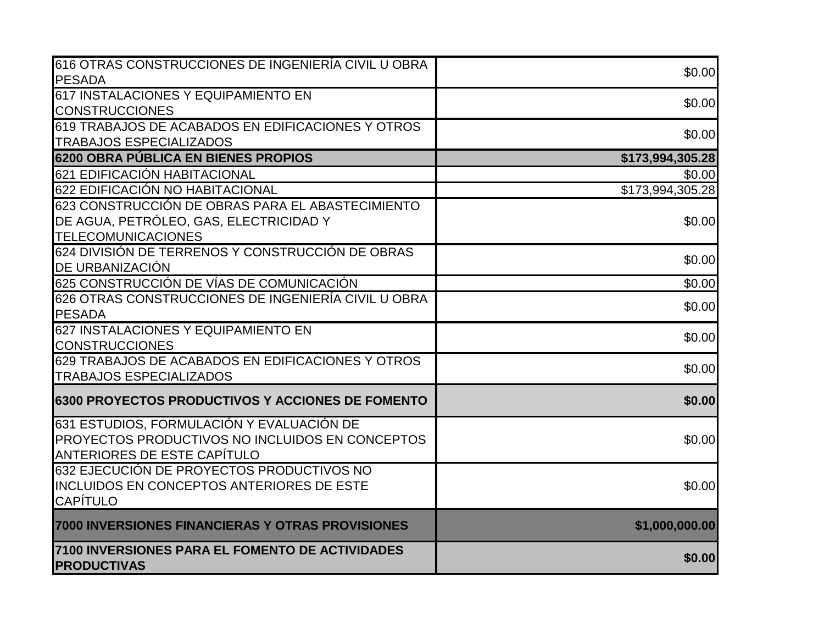| 616 OTRAS CONSTRUCCIONES DE INGENIERÍA CIVIL U OBRA     | \$0.00                       |
|---------------------------------------------------------|------------------------------|
| <b>PESADA</b>                                           |                              |
| 617 INSTALACIONES Y EQUIPAMIENTO EN                     | \$0.00                       |
| <b>CONSTRUCCIONES</b>                                   |                              |
| 619 TRABAJOS DE ACABADOS EN EDIFICACIONES Y OTROS       | \$0.00                       |
| <b>TRABAJOS ESPECIALIZADOS</b>                          |                              |
| 6200 OBRA PÚBLICA EN BIENES PROPIOS                     | \$173,994,305.28             |
| 621 EDIFICACIÓN HABITACIONAL                            | \$0.00                       |
| 622 EDIFICACIÓN NO HABITACIONAL                         | $\overline{$}173,994,305.28$ |
| 623 CONSTRUCCIÓN DE OBRAS PARA EL ABASTECIMIENTO        |                              |
| DE AGUA, PETRÓLEO, GAS, ELECTRICIDAD Y                  | \$0.00                       |
| <b>TELECOMUNICACIONES</b>                               |                              |
| 624 DIVISIÓN DE TERRENOS Y CONSTRUCCIÓN DE OBRAS        |                              |
| DE URBANIZACIÓN                                         | \$0.00                       |
| 625 CONSTRUCCIÓN DE VÍAS DE COMUNICACIÓN                | \$0.00                       |
| 626 OTRAS CONSTRUCCIONES DE INGENIERÍA CIVIL U OBRA     | \$0.00                       |
| PESADA                                                  |                              |
| 627 INSTALACIONES Y EQUIPAMIENTO EN                     | \$0.00                       |
| <b>CONSTRUCCIONES</b>                                   |                              |
| 629 TRABAJOS DE ACABADOS EN EDIFICACIONES Y OTROS       | \$0.00                       |
| <b>TRABAJOS ESPECIALIZADOS</b>                          |                              |
| <b>6300 PROYECTOS PRODUCTIVOS Y ACCIONES DE FOMENTO</b> | \$0.00                       |
| 631 ESTUDIOS, FORMULACIÓN Y EVALUACIÓN DE               |                              |
| <b>PROYECTOS PRODUCTIVOS NO INCLUIDOS EN CONCEPTOS</b>  | \$0.00                       |
| <b>ANTERIORES DE ESTE CAPÍTULO</b>                      |                              |
| 632 EJECUCIÓN DE PROYECTOS PRODUCTIVOS NO               |                              |
| <b>INCLUIDOS EN CONCEPTOS ANTERIORES DE ESTE</b>        | \$0.00                       |
| <b>CAPÍTULO</b>                                         |                              |
| 7000 INVERSIONES FINANCIERAS Y OTRAS PROVISIONES        | \$1,000,000.00               |
| 7100 INVERSIONES PARA EL FOMENTO DE ACTIVIDADES         |                              |
| <b>PRODUCTIVAS</b>                                      | \$0.00                       |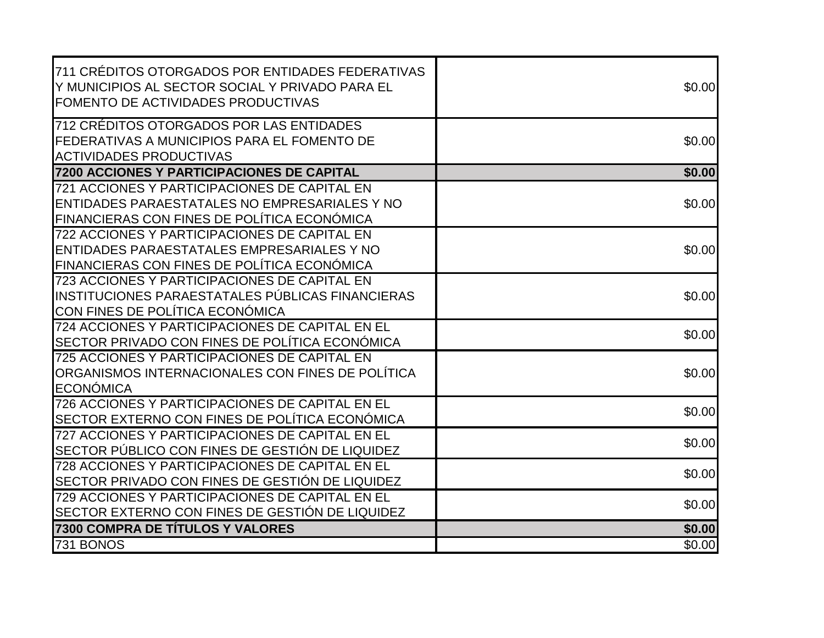| 711 CRÉDITOS OTORGADOS POR ENTIDADES FEDERATIVAS<br>Y MUNICIPIOS AL SECTOR SOCIAL Y PRIVADO PARA EL<br>FOMENTO DE ACTIVIDADES PRODUCTIVAS    | \$0.00 |
|----------------------------------------------------------------------------------------------------------------------------------------------|--------|
| 712 CRÉDITOS OTORGADOS POR LAS ENTIDADES<br>FEDERATIVAS A MUNICIPIOS PARA EL FOMENTO DE<br><b>ACTIVIDADES PRODUCTIVAS</b>                    | \$0.00 |
| 7200 ACCIONES Y PARTICIPACIONES DE CAPITAL                                                                                                   | \$0.00 |
| 721 ACCIONES Y PARTICIPACIONES DE CAPITAL EN<br>ENTIDADES PARAESTATALES NO EMPRESARIALES Y NO<br>FINANCIERAS CON FINES DE POLÍTICA ECONÓMICA | \$0.00 |
| 722 ACCIONES Y PARTICIPACIONES DE CAPITAL EN<br>ENTIDADES PARAESTATALES EMPRESARIALES Y NO<br>FINANCIERAS CON FINES DE POLÍTICA ECONÓMICA    | \$0.00 |
| 723 ACCIONES Y PARTICIPACIONES DE CAPITAL EN<br>INSTITUCIONES PARAESTATALES PÚBLICAS FINANCIERAS<br>CON FINES DE POLÍTICA ECONÓMICA          | \$0.00 |
| 724 ACCIONES Y PARTICIPACIONES DE CAPITAL EN EL<br>SECTOR PRIVADO CON FINES DE POLÍTICA ECONÓMICA                                            | \$0.00 |
| 725 ACCIONES Y PARTICIPACIONES DE CAPITAL EN<br>ORGANISMOS INTERNACIONALES CON FINES DE POLÍTICA<br><b>ECONÓMICA</b>                         | \$0.00 |
| 726 ACCIONES Y PARTICIPACIONES DE CAPITAL EN EL<br>SECTOR EXTERNO CON FINES DE POLÍTICA ECONÓMICA                                            | \$0.00 |
| 727 ACCIONES Y PARTICIPACIONES DE CAPITAL EN EL<br>SECTOR PÚBLICO CON FINES DE GESTIÓN DE LIQUIDEZ                                           | \$0.00 |
| 728 ACCIONES Y PARTICIPACIONES DE CAPITAL EN EL<br>SECTOR PRIVADO CON FINES DE GESTIÓN DE LIQUIDEZ                                           | \$0.00 |
| 729 ACCIONES Y PARTICIPACIONES DE CAPITAL EN EL<br>SECTOR EXTERNO CON FINES DE GESTIÓN DE LIQUIDEZ                                           | \$0.00 |
| 7300 COMPRA DE TÍTULOS Y VALORES                                                                                                             | \$0.00 |
| 731 BONOS                                                                                                                                    | \$0.00 |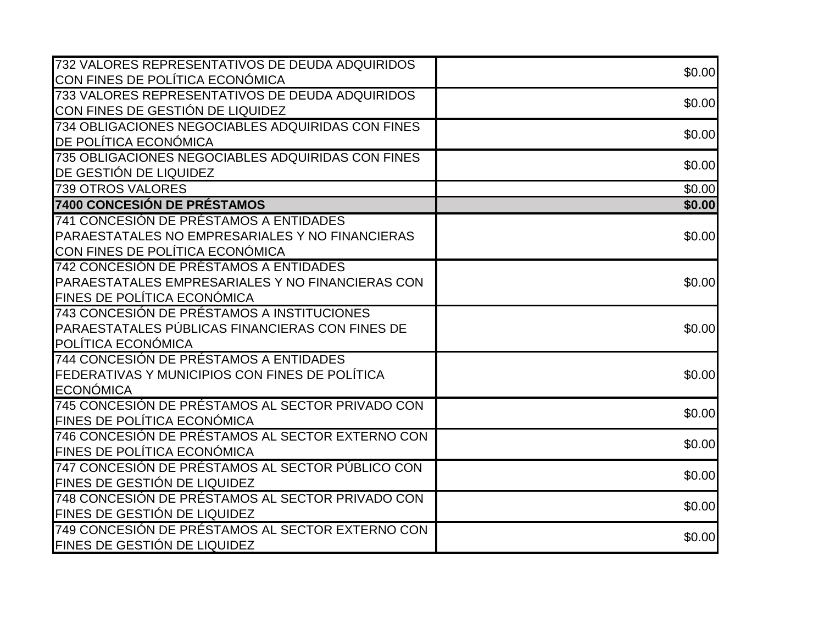| 732 VALORES REPRESENTATIVOS DE DEUDA ADQUIRIDOS   | \$0.00         |
|---------------------------------------------------|----------------|
| CON FINES DE POLÍTICA ECONÓMICA                   |                |
| 733 VALORES REPRESENTATIVOS DE DEUDA ADQUIRIDOS   | \$0.00         |
| CON FINES DE GESTIÓN DE LIQUIDEZ                  |                |
| 734 OBLIGACIONES NEGOCIABLES ADQUIRIDAS CON FINES | \$0.00         |
| DE POLÍTICA ECONÓMICA                             |                |
| 735 OBLIGACIONES NEGOCIABLES ADQUIRIDAS CON FINES | \$0.00         |
| DE GESTIÓN DE LIQUIDEZ                            |                |
| <b>739 OTROS VALORES</b>                          | $\sqrt{$0.00}$ |
| 7400 CONCESIÓN DE PRÉSTAMOS                       | \$0.00         |
| 741 CONCESIÓN DE PRÉSTAMOS A ENTIDADES            |                |
| PARAESTATALES NO EMPRESARIALES Y NO FINANCIERAS   | \$0.00         |
| CON FINES DE POLÍTICA ECONÓMICA                   |                |
| 742 CONCESIÓN DE PRÉSTAMOS A ENTIDADES            |                |
| PARAESTATALES EMPRESARIALES Y NO FINANCIERAS CON  | \$0.00         |
| <b>FINES DE POLÍTICA ECONÓMICA</b>                |                |
| 743 CONCESIÓN DE PRÉSTAMOS A INSTITUCIONES        |                |
| PARAESTATALES PÚBLICAS FINANCIERAS CON FINES DE   | \$0.00         |
| POLÍTICA ECONÓMICA                                |                |
| 744 CONCESIÓN DE PRÉSTAMOS A ENTIDADES            |                |
| FEDERATIVAS Y MUNICIPIOS CON FINES DE POLÍTICA    | \$0.00         |
| <b>ECONÓMICA</b>                                  |                |
| 745 CONCESIÓN DE PRÉSTAMOS AL SECTOR PRIVADO CON  | \$0.00         |
| FINES DE POLÍTICA ECONÓMICA                       |                |
| 746 CONCESIÓN DE PRÉSTAMOS AL SECTOR EXTERNO CON  | \$0.00         |
| <b>FINES DE POLÍTICA ECONÓMICA</b>                |                |
| 747 CONCESIÓN DE PRÉSTAMOS AL SECTOR PÚBLICO CON  | \$0.00         |
| FINES DE GESTIÓN DE LIQUIDEZ                      |                |
| 748 CONCESIÓN DE PRÉSTAMOS AL SECTOR PRIVADO CON  | \$0.00         |
| FINES DE GESTIÓN DE LIQUIDEZ                      |                |
| 749 CONCESIÓN DE PRÉSTAMOS AL SECTOR EXTERNO CON  | \$0.00         |
| FINES DE GESTIÓN DE LIQUIDEZ                      |                |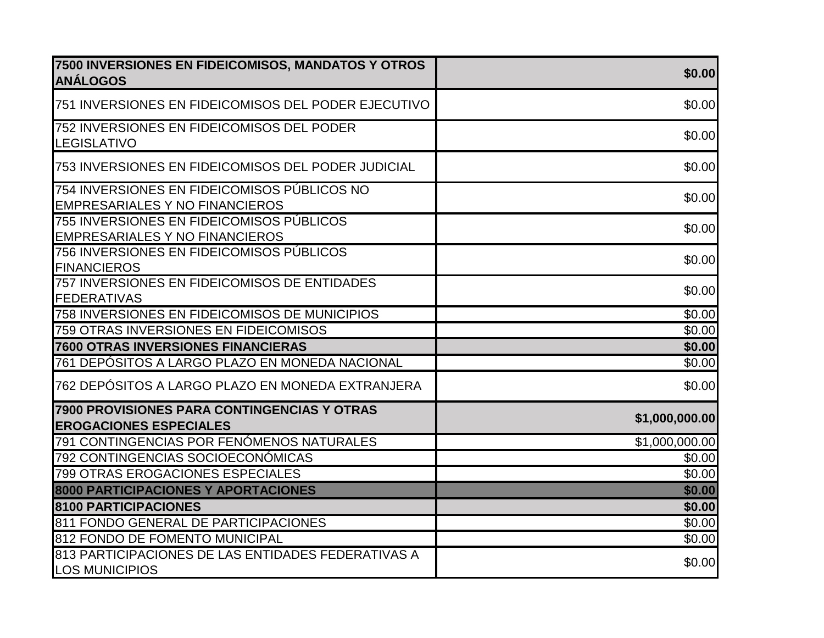| 7500 INVERSIONES EN FIDEICOMISOS, MANDATOS Y OTROS<br><b>ANÁLOGOS</b>                | \$0.00         |
|--------------------------------------------------------------------------------------|----------------|
| 751 INVERSIONES EN FIDEICOMISOS DEL PODER EJECUTIVO                                  | \$0.00         |
| 752 INVERSIONES EN FIDEICOMISOS DEL PODER<br><b>LEGISLATIVO</b>                      | \$0.00         |
| 753 INVERSIONES EN FIDEICOMISOS DEL PODER JUDICIAL                                   | \$0.00         |
| 754 INVERSIONES EN FIDEICOMISOS PÚBLICOS NO<br><b>EMPRESARIALES Y NO FINANCIEROS</b> | \$0.00         |
| 755 INVERSIONES EN FIDEICOMISOS PÚBLICOS<br><b>EMPRESARIALES Y NO FINANCIEROS</b>    | \$0.00         |
| 756 INVERSIONES EN FIDEICOMISOS PÚBLICOS<br><b>FINANCIEROS</b>                       | \$0.00         |
| 757 INVERSIONES EN FIDEICOMISOS DE ENTIDADES<br><b>FEDERATIVAS</b>                   | \$0.00         |
| 758 INVERSIONES EN FIDEICOMISOS DE MUNICIPIOS                                        | \$0.00         |
| 759 OTRAS INVERSIONES EN FIDEICOMISOS                                                | \$0.00         |
| <b>7600 OTRAS INVERSIONES FINANCIERAS</b>                                            | \$0.00         |
| 761 DEPÓSITOS A LARGO PLAZO EN MONEDA NACIONAL                                       | \$0.00         |
| 762 DEPÓSITOS A LARGO PLAZO EN MONEDA EXTRANJERA                                     | \$0.00         |
| 7900 PROVISIONES PARA CONTINGENCIAS Y OTRAS<br><b>EROGACIONES ESPECIALES</b>         | \$1,000,000.00 |
| 791 CONTINGENCIAS POR FENÓMENOS NATURALES                                            | \$1,000,000.00 |
| 792 CONTINGENCIAS SOCIOECONÓMICAS                                                    | \$0.00         |
| 799 OTRAS EROGACIONES ESPECIALES                                                     | \$0.00         |
| 8000 PARTICIPACIONES Y APORTACIONES                                                  | \$0.00         |
| 8100 PARTICIPACIONES                                                                 | \$0.00         |
| 811 FONDO GENERAL DE PARTICIPACIONES                                                 | \$0.00         |
| 812 FONDO DE FOMENTO MUNICIPAL                                                       | \$0.00         |
| 813 PARTICIPACIONES DE LAS ENTIDADES FEDERATIVAS A<br><b>LOS MUNICIPIOS</b>          | \$0.00         |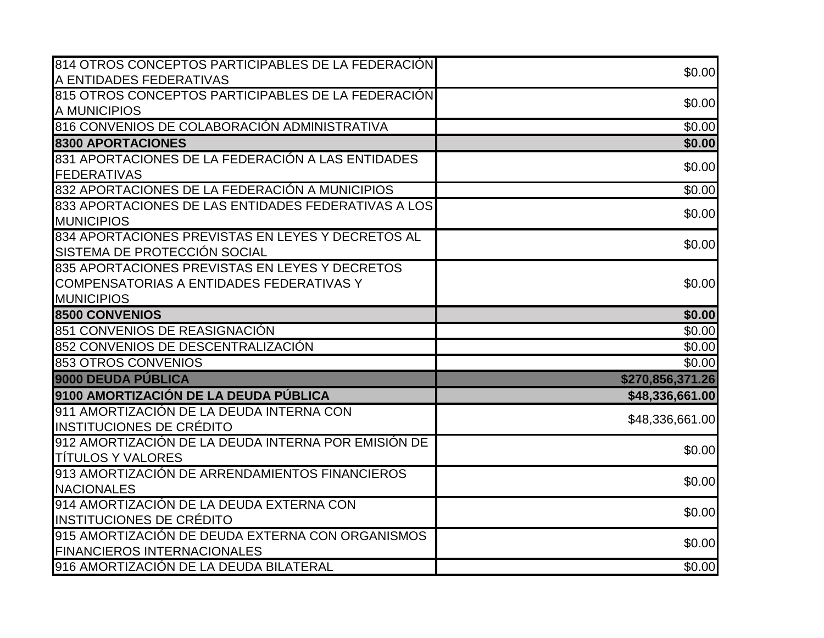| 814 OTROS CONCEPTOS PARTICIPABLES DE LA FEDERACIÓN  | \$0.00             |
|-----------------------------------------------------|--------------------|
| A ENTIDADES FEDERATIVAS                             |                    |
| 815 OTROS CONCEPTOS PARTICIPABLES DE LA FEDERACIÓN  | \$0.00             |
| A MUNICIPIOS                                        |                    |
| 816 CONVENIOS DE COLABORACIÓN ADMINISTRATIVA        | $\overline{$0.00}$ |
| <b>8300 APORTACIONES</b>                            | \$0.00             |
| 831 APORTACIONES DE LA FEDERACIÓN A LAS ENTIDADES   | \$0.00             |
| <b>FEDERATIVAS</b>                                  |                    |
| 832 APORTACIONES DE LA FEDERACIÓN A MUNICIPIOS      | $\overline{$0.00}$ |
| 833 APORTACIONES DE LAS ENTIDADES FEDERATIVAS A LOS | \$0.00             |
| <b>MUNICIPIOS</b>                                   |                    |
| 834 APORTACIONES PREVISTAS EN LEYES Y DECRETOS AL   | \$0.00             |
| SISTEMA DE PROTECCIÓN SOCIAL                        |                    |
| 835 APORTACIONES PREVISTAS EN LEYES Y DECRETOS      |                    |
| COMPENSATORIAS A ENTIDADES FEDERATIVAS Y            | \$0.00             |
| <b>MUNICIPIOS</b>                                   |                    |
| <b>8500 CONVENIOS</b>                               | \$0.00             |
| 851 CONVENIOS DE REASIGNACIÓN                       | $\sqrt{$0.00}$     |
| 852 CONVENIOS DE DESCENTRALIZACIÓN                  | \$0.00             |
| 853 OTROS CONVENIOS                                 | \$0.00             |
| 9000 DEUDA PÚBLICA                                  | \$270,856,371.26   |
| 9100 AMORTIZACIÓN DE LA DEUDA PÚBLICA               | \$48,336,661.00    |
| 911 AMORTIZACIÓN DE LA DEUDA INTERNA CON            |                    |
| <b>INSTITUCIONES DE CRÉDITO</b>                     | \$48,336,661.00    |
| 912 AMORTIZACIÓN DE LA DEUDA INTERNA POR EMISIÓN DE | \$0.00             |
| <b>TÍTULOS Y VALORES</b>                            |                    |
| 913 AMORTIZACIÓN DE ARRENDAMIENTOS FINANCIEROS      | \$0.00             |
| <b>NACIONALES</b>                                   |                    |
| 914 AMORTIZACIÓN DE LA DEUDA EXTERNA CON            | \$0.00             |
| <b>INSTITUCIONES DE CRÉDITO</b>                     |                    |
| 915 AMORTIZACIÓN DE DEUDA EXTERNA CON ORGANISMOS    | \$0.00             |
| <b>FINANCIEROS INTERNACIONALES</b>                  |                    |
| 916 AMORTIZACIÓN DE LA DEUDA BILATERAL              | \$0.00             |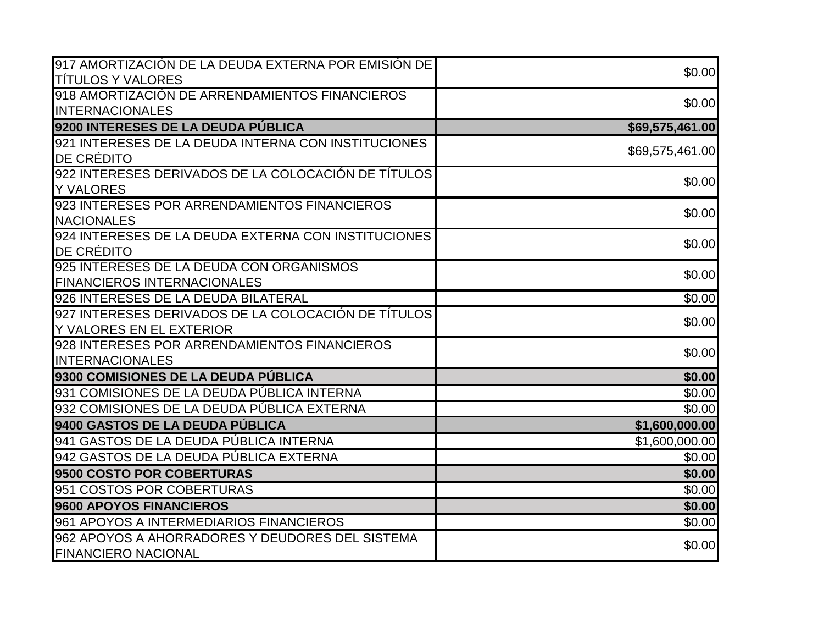| 917 AMORTIZACIÓN DE LA DEUDA EXTERNA POR EMISIÓN DE | \$0.00          |
|-----------------------------------------------------|-----------------|
| <b>TÍTULOS Y VALORES</b>                            |                 |
| 918 AMORTIZACIÓN DE ARRENDAMIENTOS FINANCIEROS      | \$0.00          |
| <b>INTERNACIONALES</b>                              |                 |
| 9200 INTERESES DE LA DEUDA PÚBLICA                  | \$69,575,461.00 |
| 921 INTERESES DE LA DEUDA INTERNA CON INSTITUCIONES | \$69,575,461.00 |
| <b>DE CRÉDITO</b>                                   |                 |
| 922 INTERESES DERIVADOS DE LA COLOCACIÓN DE TÍTULOS | \$0.00          |
| <b>Y VALORES</b>                                    |                 |
| 923 INTERESES POR ARRENDAMIENTOS FINANCIEROS        | \$0.00          |
| <b>NACIONALES</b>                                   |                 |
| 924 INTERESES DE LA DEUDA EXTERNA CON INSTITUCIONES | \$0.00          |
| <b>DE CRÉDITO</b>                                   |                 |
| 925 INTERESES DE LA DEUDA CON ORGANISMOS            | \$0.00          |
| <b>FINANCIEROS INTERNACIONALES</b>                  |                 |
| 926 INTERESES DE LA DEUDA BILATERAL                 | \$0.00          |
| 927 INTERESES DERIVADOS DE LA COLOCACIÓN DE TÍTULOS | \$0.00          |
| Y VALORES EN EL EXTERIOR                            |                 |
| 928 INTERESES POR ARRENDAMIENTOS FINANCIEROS        | \$0.00          |
| <b>INTERNACIONALES</b>                              |                 |
| 9300 COMISIONES DE LA DEUDA PÚBLICA                 | \$0.00          |
| 931 COMISIONES DE LA DEUDA PÚBLICA INTERNA          | \$0.00          |
| 932 COMISIONES DE LA DEUDA PÚBLICA EXTERNA          | \$0.00          |
| 9400 GASTOS DE LA DEUDA PÚBLICA                     | \$1,600,000.00  |
| 941 GASTOS DE LA DEUDA PÚBLICA INTERNA              | \$1,600,000.00  |
| 942 GASTOS DE LA DEUDA PÚBLICA EXTERNA              | \$0.00          |
| 9500 COSTO POR COBERTURAS                           | \$0.00          |
| 951 COSTOS POR COBERTURAS                           | \$0.00          |
| 9600 APOYOS FINANCIEROS                             | \$0.00          |
| 961 APOYOS A INTERMEDIARIOS FINANCIEROS             | \$0.00          |
| 962 APOYOS A AHORRADORES Y DEUDORES DEL SISTEMA     | \$0.00          |
| <b>FINANCIERO NACIONAL</b>                          |                 |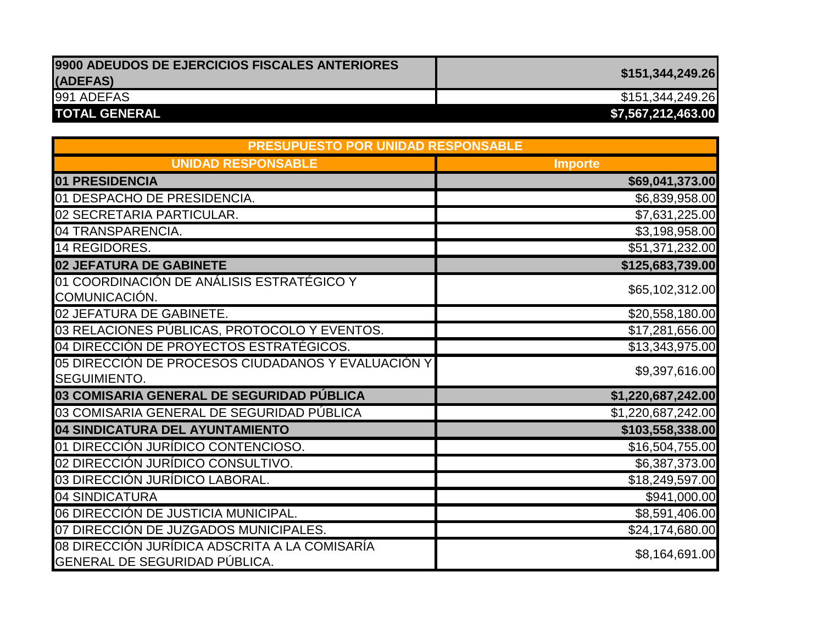| 9900 ADEUDOS DE EJERCICIOS FISCALES ANTERIORES | \$151,344,249.26   |
|------------------------------------------------|--------------------|
| (ADEFAS)                                       |                    |
| 991 ADEFAS                                     | \$151,344,249.26   |
| <b>TOTAL GENERAL</b>                           | \$7,567,212,463.00 |

| PRESUPUESTO POR UNIDAD RESPONSABLE                                             |                    |
|--------------------------------------------------------------------------------|--------------------|
| <b>UNIDAD RESPONSABLE</b>                                                      | <b>Importe</b>     |
| 01 PRESIDENCIA                                                                 | \$69,041,373.00    |
| 01 DESPACHO DE PRESIDENCIA.                                                    | \$6,839,958.00     |
| 02 SECRETARIA PARTICULAR.                                                      | \$7,631,225.00     |
| 04 TRANSPARENCIA.                                                              | \$3,198,958.00     |
| 14 REGIDORES.                                                                  | \$51,371,232.00    |
| 02 JEFATURA DE GABINETE                                                        | \$125,683,739.00   |
| 01 COORDINACIÓN DE ANÁLISIS ESTRATÉGICO Y<br>COMUNICACIÓN.                     | \$65,102,312.00    |
| 02 JEFATURA DE GABINETE.                                                       | \$20,558,180.00    |
| 03 RELACIONES PÚBLICAS, PROTOCOLO Y EVENTOS.                                   | \$17,281,656.00    |
| 04 DIRECCIÓN DE PROYECTOS ESTRATÉGICOS.                                        | \$13,343,975.00    |
| 05 DIRECCIÓN DE PROCESOS CIUDADANOS Y EVALUACIÓN Y<br>SEGUIMIENTO.             | \$9,397,616.00     |
| 03 COMISARIA GENERAL DE SEGURIDAD PÚBLICA                                      | \$1,220,687,242.00 |
| 03 COMISARIA GENERAL DE SEGURIDAD PÚBLICA                                      | \$1,220,687,242.00 |
| 04 SINDICATURA DEL AYUNTAMIENTO                                                | \$103,558,338.00   |
| 01 DIRECCIÓN JURÍDICO CONTENCIOSO.                                             | \$16,504,755.00    |
| 02 DIRECCIÓN JURÍDICO CONSULTIVO.                                              | \$6,387,373.00     |
| 03 DIRECCIÓN JURÍDICO LABORAL.                                                 | \$18,249,597.00    |
| 04 SINDICATURA                                                                 | \$941,000.00       |
| 06 DIRECCIÓN DE JUSTICIA MUNICIPAL.                                            | \$8,591,406.00     |
| 07 DIRECCIÓN DE JUZGADOS MUNICIPALES.                                          | \$24,174,680.00    |
| 08 DIRECCIÓN JURÍDICA ADSCRITA A LA COMISARÍA<br>GENERAL DE SEGURIDAD PÚBLICA. | \$8,164,691.00     |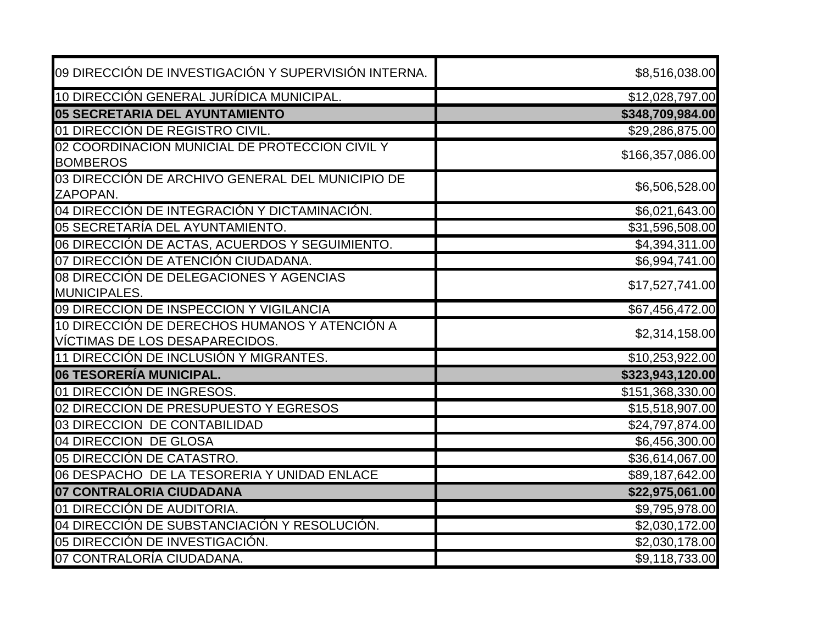| 09 DIRECCIÓN DE INVESTIGACIÓN Y SUPERVISIÓN INTERNA.                            | \$8,516,038.00   |
|---------------------------------------------------------------------------------|------------------|
| 10 DIRECCIÓN GENERAL JURÍDICA MUNICIPAL.                                        | \$12,028,797.00  |
| 05 SECRETARIA DEL AYUNTAMIENTO                                                  | \$348,709,984.00 |
| 01 DIRECCIÓN DE REGISTRO CIVIL.                                                 | \$29,286,875.00  |
| 02 COORDINACION MUNICIAL DE PROTECCION CIVIL Y<br><b>BOMBEROS</b>               | \$166,357,086.00 |
| 03 DIRECCIÓN DE ARCHIVO GENERAL DEL MUNICIPIO DE<br>ZAPOPAN.                    | \$6,506,528.00   |
| 04 DIRECCIÓN DE INTEGRACIÓN Y DICTAMINACIÓN.                                    | \$6,021,643.00   |
| 05 SECRETARÍA DEL AYUNTAMIENTO.                                                 | \$31,596,508.00  |
| 06 DIRECCIÓN DE ACTAS, ACUERDOS Y SEGUIMIENTO.                                  | \$4,394,311.00   |
| 07 DIRECCIÓN DE ATENCIÓN CIUDADANA.                                             | \$6,994,741.00   |
| 08 DIRECCIÓN DE DELEGACIONES Y AGENCIAS<br><b>MUNICIPALES.</b>                  | \$17,527,741.00  |
| 09 DIRECCION DE INSPECCION Y VIGILANCIA                                         | \$67,456,472.00  |
| 10 DIRECCIÓN DE DERECHOS HUMANOS Y ATENCIÓN A<br>VÍCTIMAS DE LOS DESAPARECIDOS. | \$2,314,158.00   |
| 11 DIRECCIÓN DE INCLUSIÓN Y MIGRANTES.                                          | \$10,253,922.00  |
| 06 TESORERÍA MUNICIPAL.                                                         | \$323,943,120.00 |
| 01 DIRECCIÓN DE INGRESOS.                                                       | \$151,368,330.00 |
| 02 DIRECCION DE PRESUPUESTO Y EGRESOS                                           | \$15,518,907.00  |
| 03 DIRECCION DE CONTABILIDAD                                                    | \$24,797,874.00  |
| 04 DIRECCION DE GLOSA                                                           | \$6,456,300.00   |
| 05 DIRECCIÓN DE CATASTRO.                                                       | \$36,614,067.00  |
| 06 DESPACHO DE LA TESORERIA Y UNIDAD ENLACE                                     | \$89,187,642.00  |
| 07 CONTRALORIA CIUDADANA                                                        | \$22,975,061.00  |
| 01 DIRECCIÓN DE AUDITORIA.                                                      | \$9,795,978.00   |
| 04 DIRECCIÓN DE SUBSTANCIACIÓN Y RESOLUCIÓN.                                    | \$2,030,172.00   |
| 05 DIRECCIÓN DE INVESTIGACIÓN.                                                  | \$2,030,178.00   |
| 07 CONTRALORÍA CIUDADANA.                                                       | \$9,118,733.00   |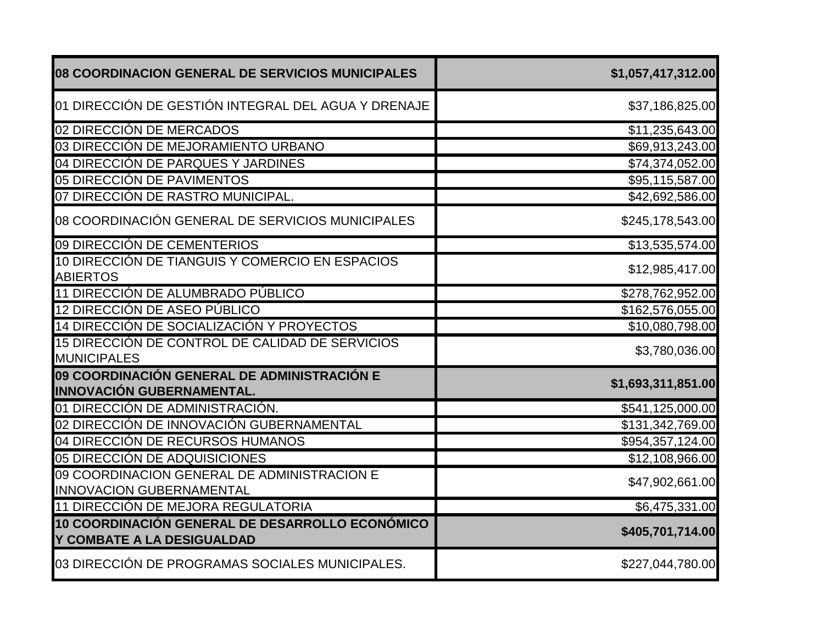| 08 COORDINACION GENERAL DE SERVICIOS MUNICIPALES                                | \$1,057,417,312.00 |
|---------------------------------------------------------------------------------|--------------------|
| 01 DIRECCIÓN DE GESTIÓN INTEGRAL DEL AGUA Y DRENAJE                             | \$37,186,825.00    |
| 02 DIRECCIÓN DE MERCADOS                                                        | \$11,235,643.00    |
| 03 DIRECCIÓN DE MEJORAMIENTO URBANO                                             | \$69,913,243.00    |
| 04 DIRECCIÓN DE PARQUES Y JARDINES                                              | \$74,374,052.00    |
| 05 DIRECCIÓN DE PAVIMENTOS                                                      | \$95,115,587.00    |
| 07 DIRECCIÓN DE RASTRO MUNICIPAL.                                               | \$42,692,586.00    |
| 08 COORDINACIÓN GENERAL DE SERVICIOS MUNICIPALES                                | \$245,178,543.00   |
| 09 DIRECCIÓN DE CEMENTERIOS                                                     | \$13,535,574.00    |
| 10 DIRECCIÓN DE TIANGUIS Y COMERCIO EN ESPACIOS<br><b>ABIERTOS</b>              | \$12,985,417.00    |
| 11 DIRECCIÓN DE ALUMBRADO PÚBLICO                                               | \$278,762,952.00   |
| 12 DIRECCIÓN DE ASEO PÚBLICO                                                    | \$162,576,055.00   |
| 14 DIRECCIÓN DE SOCIALIZACIÓN Y PROYECTOS                                       | \$10,080,798.00    |
| 15 DIRECCIÓN DE CONTROL DE CALIDAD DE SERVICIOS<br><b>MUNICIPALES</b>           | \$3,780,036.00     |
| 09 COORDINACIÓN GENERAL DE ADMINISTRACIÓN E<br><b>INNOVACIÓN GUBERNAMENTAL.</b> | \$1,693,311,851.00 |
| 01 DIRECCIÓN DE ADMINISTRACIÓN.                                                 | \$541,125,000.00   |
| 02 DIRECCIÓN DE INNOVACIÓN GUBERNAMENTAL                                        | \$131,342,769.00   |
| 04 DIRECCIÓN DE RECURSOS HUMANOS                                                | \$954,357,124.00   |
| 05 DIRECCIÓN DE ADQUISICIONES                                                   | \$12,108,966.00    |
| 09 COORDINACION GENERAL DE ADMINISTRACION E<br><b>INNOVACION GUBERNAMENTAL</b>  | \$47,902,661.00    |
| 11 DIRECCIÓN DE MEJORA REGULATORIA                                              | \$6,475,331.00     |
| 10 COORDINACIÓN GENERAL DE DESARROLLO ECONÓMICO<br>Y COMBATE A LA DESIGUALDAD   | \$405,701,714.00   |
| 03 DIRECCIÓN DE PROGRAMAS SOCIALES MUNICIPALES.                                 | \$227,044,780.00   |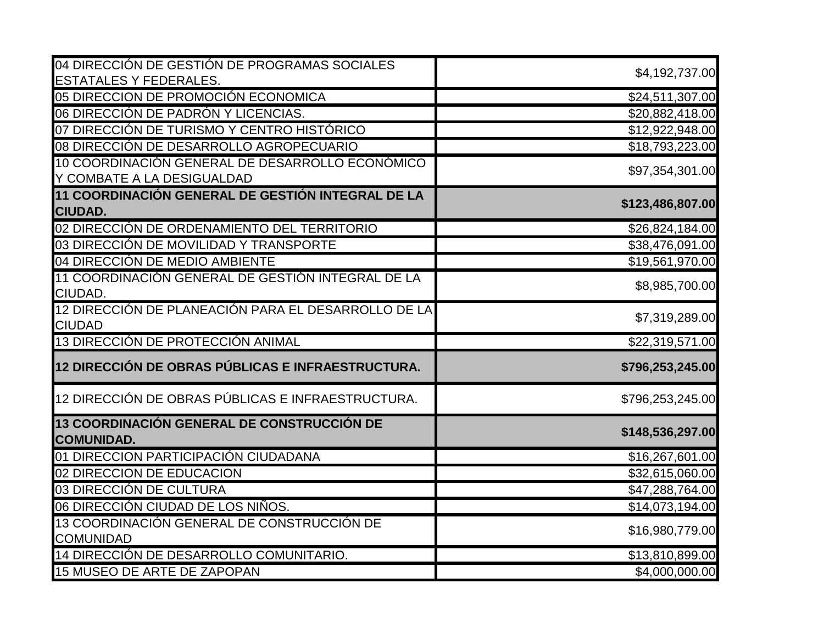| 04 DIRECCIÓN DE GESTIÓN DE PROGRAMAS SOCIALES                        | \$4,192,737.00   |
|----------------------------------------------------------------------|------------------|
| <b>ESTATALES Y FEDERALES.</b>                                        |                  |
| 05 DIRECCION DE PROMOCIÓN ECONOMICA                                  | \$24,511,307.00  |
| 06 DIRECCIÓN DE PADRÓN Y LICENCIAS.                                  | \$20,882,418.00  |
| 07 DIRECCIÓN DE TURISMO Y CENTRO HISTÓRICO                           | \$12,922,948.00  |
| 08 DIRECCIÓN DE DESARROLLO AGROPECUARIO                              | \$18,793,223.00  |
| 10 COORDINACIÓN GENERAL DE DESARROLLO ECONÓMICO                      | \$97,354,301.00  |
| Y COMBATE A LA DESIGUALDAD                                           |                  |
| 11 COORDINACIÓN GENERAL DE GESTIÓN INTEGRAL DE LA<br><b>CIUDAD.</b>  | \$123,486,807.00 |
| 02 DIRECCIÓN DE ORDENAMIENTO DEL TERRITORIO                          | \$26,824,184.00  |
| 03 DIRECCIÓN DE MOVILIDAD Y TRANSPORTE                               | \$38,476,091.00  |
| 04 DIRECCIÓN DE MEDIO AMBIENTE                                       | \$19,561,970.00  |
| 11 COORDINACIÓN GENERAL DE GESTIÓN INTEGRAL DE LA<br>CIUDAD.         | \$8,985,700.00   |
| 12 DIRECCIÓN DE PLANEACIÓN PARA EL DESARROLLO DE LA<br><b>CIUDAD</b> | \$7,319,289.00   |
| 13 DIRECCIÓN DE PROTECCIÓN ANIMAL                                    | \$22,319,571.00  |
| 12 DIRECCIÓN DE OBRAS PÚBLICAS E INFRAESTRUCTURA.                    | \$796,253,245.00 |
| 12 DIRECCIÓN DE OBRAS PÚBLICAS E INFRAESTRUCTURA.                    | \$796,253,245.00 |
| 13 COORDINACIÓN GENERAL DE CONSTRUCCIÓN DE<br><b>COMUNIDAD.</b>      | \$148,536,297.00 |
| 01 DIRECCION PARTICIPACIÓN CIUDADANA                                 | \$16,267,601.00  |
| 02 DIRECCION DE EDUCACION                                            | \$32,615,060.00  |
| 03 DIRECCIÓN DE CULTURA                                              | \$47,288,764.00  |
| 06 DIRECCIÓN CIUDAD DE LOS NIÑOS.                                    | \$14,073,194.00  |
| 13 COORDINACIÓN GENERAL DE CONSTRUCCIÓN DE                           | \$16,980,779.00  |
| <b>COMUNIDAD</b>                                                     |                  |
| 14 DIRECCIÓN DE DESARROLLO COMUNITARIO.                              | \$13,810,899.00  |
| 15 MUSEO DE ARTE DE ZAPOPAN                                          | \$4,000,000.00   |